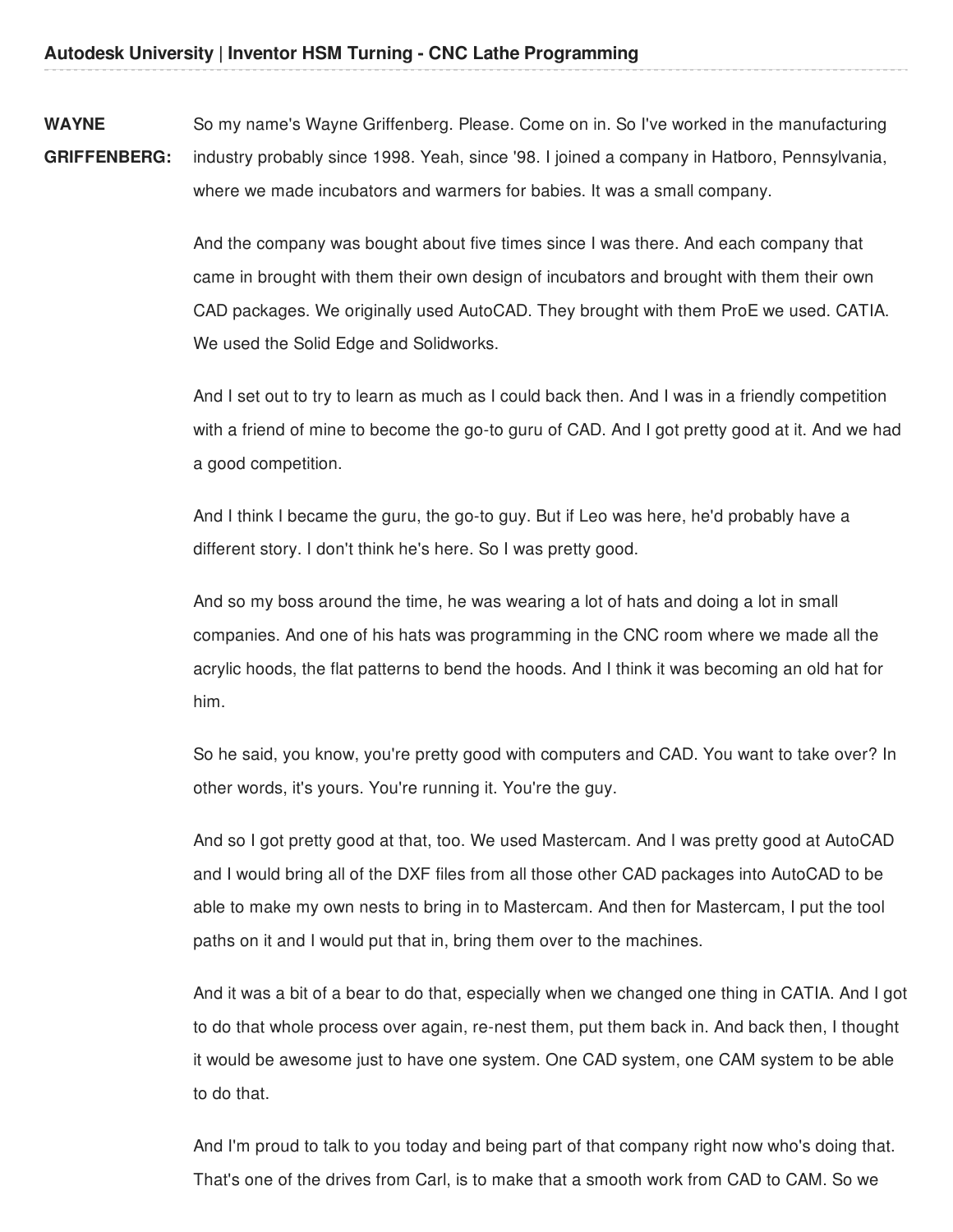**WAYNE GRIFFENBERG:** So my name's Wayne Griffenberg. Please. Come on in. So I've worked in the manufacturing industry probably since 1998. Yeah, since '98. I joined a company in Hatboro, Pennsylvania, where we made incubators and warmers for babies. It was a small company.

> And the company was bought about five times since I was there. And each company that came in brought with them their own design of incubators and brought with them their own CAD packages. We originally used AutoCAD. They brought with them ProE we used. CATIA. We used the Solid Edge and Solidworks.

And I set out to try to learn as much as I could back then. And I was in a friendly competition with a friend of mine to become the go-to guru of CAD. And I got pretty good at it. And we had a good competition.

And I think I became the guru, the go-to guy. But if Leo was here, he'd probably have a different story. I don't think he's here. So I was pretty good.

And so my boss around the time, he was wearing a lot of hats and doing a lot in small companies. And one of his hats was programming in the CNC room where we made all the acrylic hoods, the flat patterns to bend the hoods. And I think it was becoming an old hat for him.

So he said, you know, you're pretty good with computers and CAD. You want to take over? In other words, it's yours. You're running it. You're the guy.

And so I got pretty good at that, too. We used Mastercam. And I was pretty good at AutoCAD and I would bring all of the DXF files from all those other CAD packages into AutoCAD to be able to make my own nests to bring in to Mastercam. And then for Mastercam, I put the tool paths on it and I would put that in, bring them over to the machines.

And it was a bit of a bear to do that, especially when we changed one thing in CATIA. And I got to do that whole process over again, re-nest them, put them back in. And back then, I thought it would be awesome just to have one system. One CAD system, one CAM system to be able to do that.

And I'm proud to talk to you today and being part of that company right now who's doing that. That's one of the drives from Carl, is to make that a smooth work from CAD to CAM. So we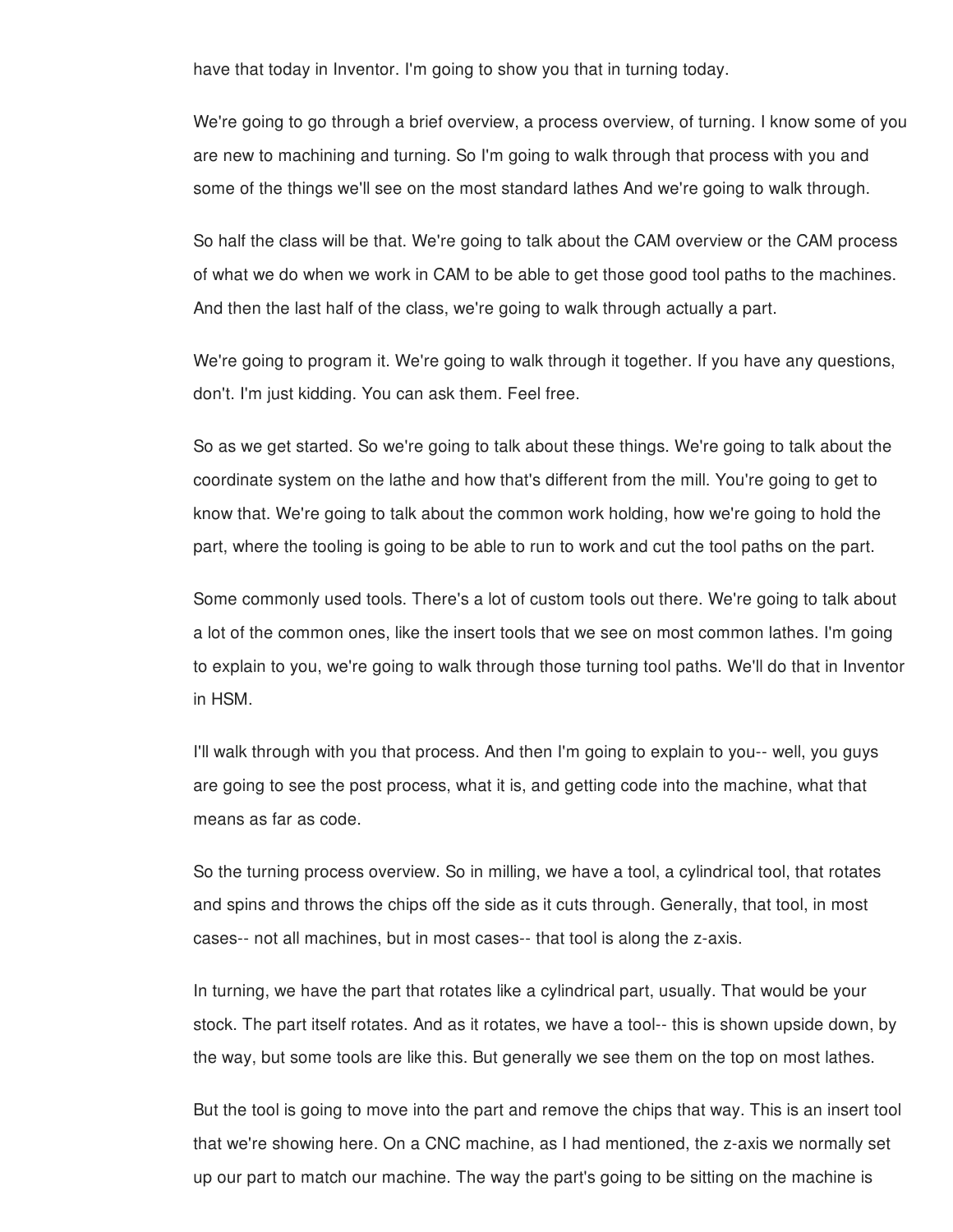have that today in Inventor. I'm going to show you that in turning today.

We're going to go through a brief overview, a process overview, of turning. I know some of you are new to machining and turning. So I'm going to walk through that process with you and some of the things we'll see on the most standard lathes And we're going to walk through.

That's one of the drives from  $C$  the drives from  $C$  to  $\mathcal{C}$  work from  $C$ 

So half the class will be that. We're going to talk about the CAM overview or the CAM process of what we do when we work in CAM to be able to get those good tool paths to the machines. And then the last half of the class, we're going to walk through actually a part.

We're going to program it. We're going to walk through it together. If you have any questions, don't. I'm just kidding. You can ask them. Feel free.

So as we get started. So we're going to talk about these things. We're going to talk about the coordinate system on the lathe and how that's different from the mill. You're going to get to know that. We're going to talk about the common work holding, how we're going to hold the part, where the tooling is going to be able to run to work and cut the tool paths on the part.

Some commonly used tools. There's a lot of custom tools out there. We're going to talk about a lot of the common ones, like the insert tools that we see on most common lathes. I'm going to explain to you, we're going to walk through those turning tool paths. We'll do that in Inventor in HSM.

I'll walk through with you that process. And then I'm going to explain to you-- well, you guys are going to see the post process, what it is, and getting code into the machine, what that means as far as code.

So the turning process overview. So in milling, we have a tool, a cylindrical tool, that rotates and spins and throws the chips off the side as it cuts through. Generally, that tool, in most cases-- not all machines, but in most cases-- that tool is along the z-axis.

In turning, we have the part that rotates like a cylindrical part, usually. That would be your stock. The part itself rotates. And as it rotates, we have a tool-- this is shown upside down, by the way, but some tools are like this. But generally we see them on the top on most lathes.

But the tool is going to move into the part and remove the chips that way. This is an insert tool that we're showing here. On a CNC machine, as I had mentioned, the z-axis we normally set up our part to match our machine. The way the part's going to be sitting on the machine is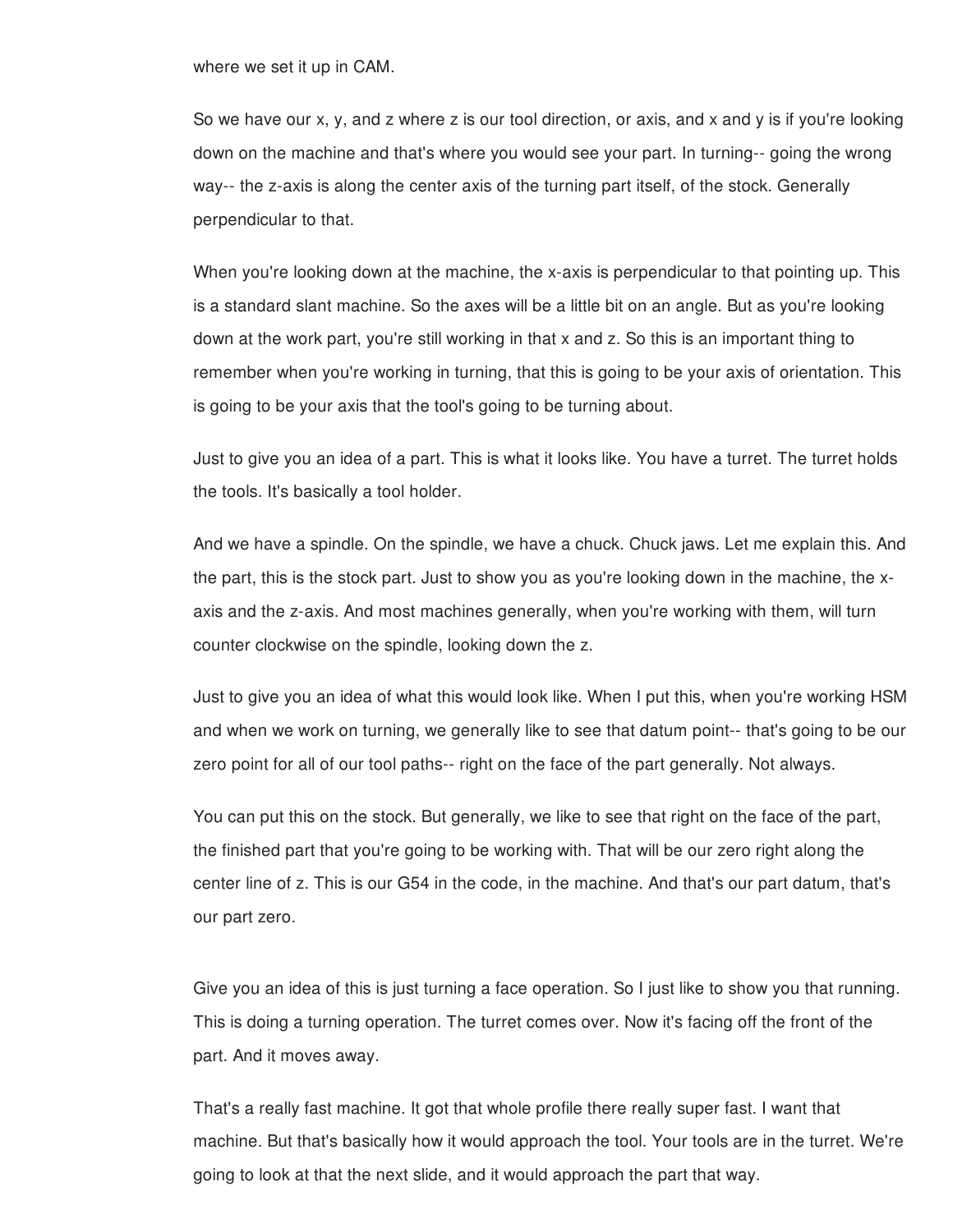where we set it up in CAM.

So we have our x, y, and z where z is our tool direction, or axis, and x and y is if you're looking down on the machine and that's where you would see your part. In turning-- going the wrong way-- the z-axis is along the center axis of the turning part itself, of the stock. Generally perpendicular to that.

When you're looking down at the machine, the x-axis is perpendicular to that pointing up. This is a standard slant machine. So the axes will be a little bit on an angle. But as you're looking down at the work part, you're still working in that x and z. So this is an important thing to remember when you're working in turning, that this is going to be your axis of orientation. This is going to be your axis that the tool's going to be turning about.

Just to give you an idea of a part. This is what it looks like. You have a turret. The turret holds the tools. It's basically a tool holder.

And we have a spindle. On the spindle, we have a chuck. Chuck jaws. Let me explain this. And the part, this is the stock part. Just to show you as you're looking down in the machine, the xaxis and the z-axis. And most machines generally, when you're working with them, will turn counter clockwise on the spindle, looking down the z.

Just to give you an idea of what this would look like. When I put this, when you're working HSM and when we work on turning, we generally like to see that datum point-- that's going to be our zero point for all of our tool paths-- right on the face of the part generally. Not always.

You can put this on the stock. But generally, we like to see that right on the face of the part, the finished part that you're going to be working with. That will be our zero right along the center line of z. This is our G54 in the code, in the machine. And that's our part datum, that's our part zero.

Give you an idea of this is just turning a face operation. So I just like to show you that running. This is doing a turning operation. The turret comes over. Now it's facing off the front of the part. And it moves away.

That's a really fast machine. It got that whole profile there really super fast. I want that machine. But that's basically how it would approach the tool. Your tools are in the turret. We're going to look at that the next slide, and it would approach the part that way.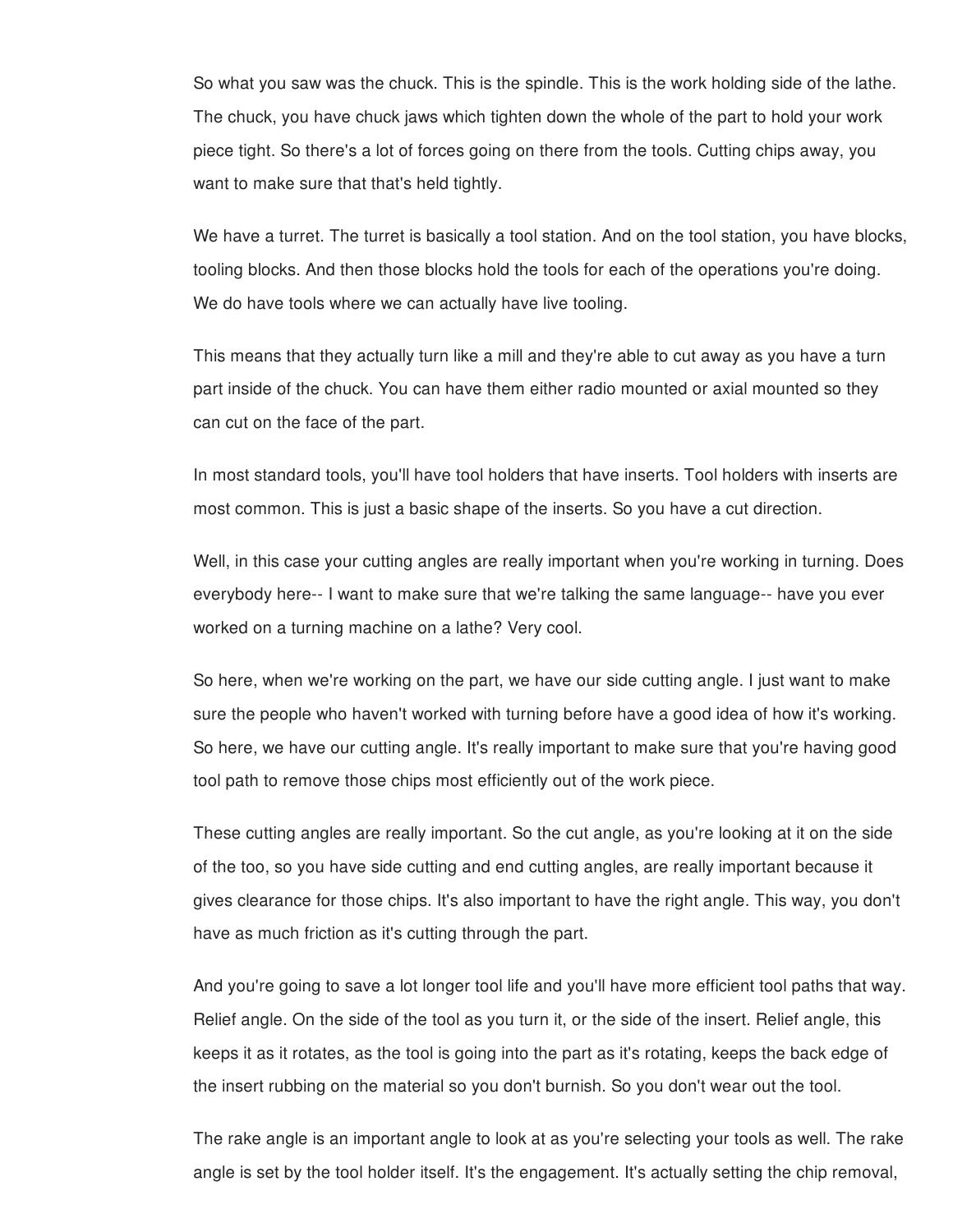So what you saw was the chuck. This is the spindle. This is the work holding side of the lathe. The chuck, you have chuck jaws which tighten down the whole of the part to hold your work piece tight. So there's a lot of forces going on there from the tools. Cutting chips away, you want to make sure that that's held tightly.

We have a turret. The turret is basically a tool station. And on the tool station, you have blocks, tooling blocks. And then those blocks hold the tools for each of the operations you're doing. We do have tools where we can actually have live tooling.

This means that they actually turn like a mill and they're able to cut away as you have a turn part inside of the chuck. You can have them either radio mounted or axial mounted so they can cut on the face of the part.

In most standard tools, you'll have tool holders that have inserts. Tool holders with inserts are most common. This is just a basic shape of the inserts. So you have a cut direction.

Well, in this case your cutting angles are really important when you're working in turning. Does everybody here-- I want to make sure that we're talking the same language-- have you ever worked on a turning machine on a lathe? Very cool.

So here, when we're working on the part, we have our side cutting angle. I just want to make sure the people who haven't worked with turning before have a good idea of how it's working. So here, we have our cutting angle. It's really important to make sure that you're having good tool path to remove those chips most efficiently out of the work piece.

These cutting angles are really important. So the cut angle, as you're looking at it on the side of the too, so you have side cutting and end cutting angles, are really important because it gives clearance for those chips. It's also important to have the right angle. This way, you don't have as much friction as it's cutting through the part.

And you're going to save a lot longer tool life and you'll have more efficient tool paths that way. Relief angle. On the side of the tool as you turn it, or the side of the insert. Relief angle, this keeps it as it rotates, as the tool is going into the part as it's rotating, keeps the back edge of the insert rubbing on the material so you don't burnish. So you don't wear out the tool.

The rake angle is an important angle to look at as you're selecting your tools as well. The rake angle is set by the tool holder itself. It's the engagement. It's actually setting the chip removal,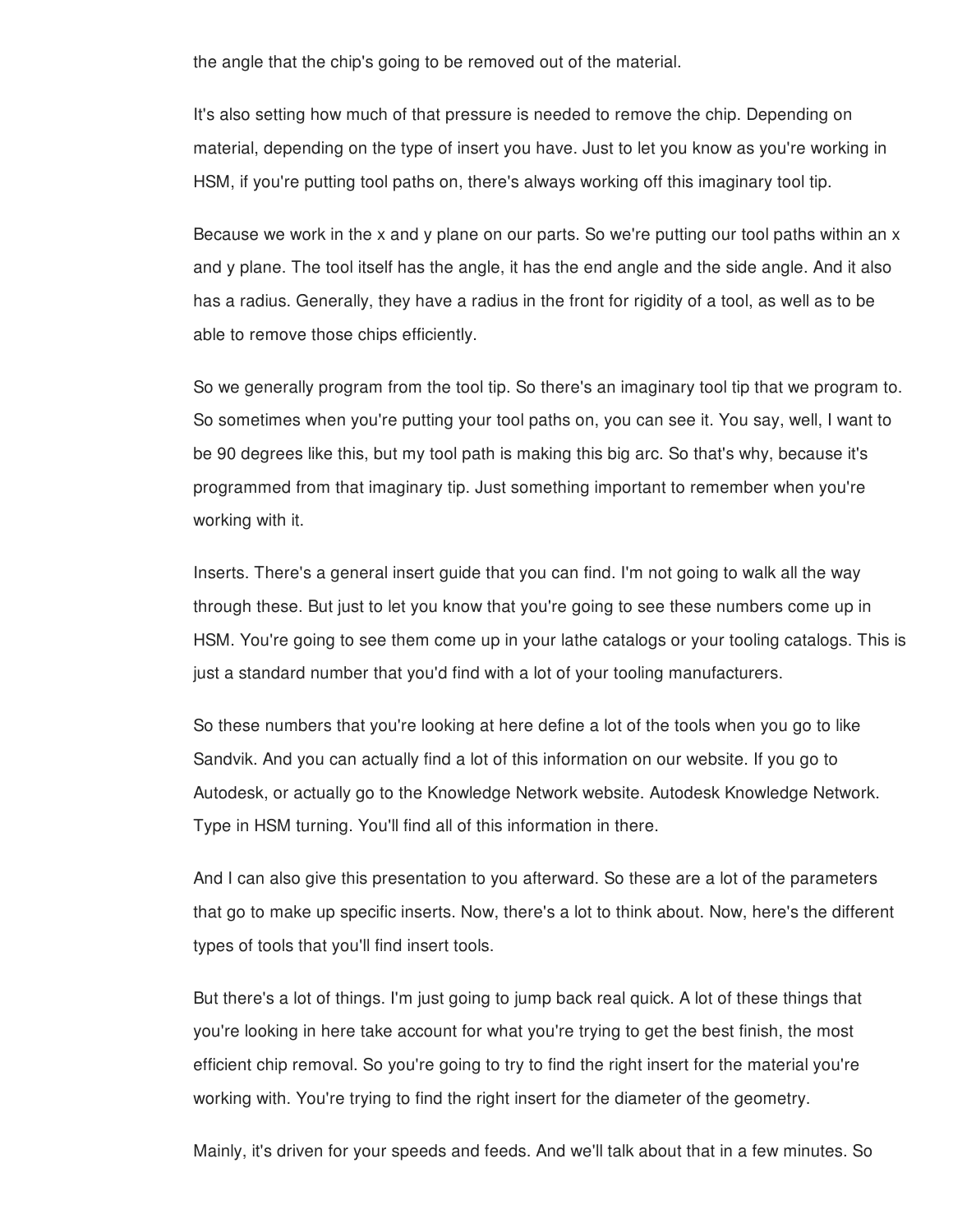the angle that the chip's going to be removed out of the material.

It's also setting how much of that pressure is needed to remove the chip. Depending on material, depending on the type of insert you have. Just to let you know as you're working in HSM, if you're putting tool paths on, there's always working off this imaginary tool tip.

Because we work in the x and y plane on our parts. So we're putting our tool paths within an x and y plane. The tool itself has the angle, it has the end angle and the side angle. And it also has a radius. Generally, they have a radius in the front for rigidity of a tool, as well as to be able to remove those chips efficiently.

So we generally program from the tool tip. So there's an imaginary tool tip that we program to. So sometimes when you're putting your tool paths on, you can see it. You say, well, I want to be 90 degrees like this, but my tool path is making this big arc. So that's why, because it's programmed from that imaginary tip. Just something important to remember when you're working with it.

Inserts. There's a general insert guide that you can find. I'm not going to walk all the way through these. But just to let you know that you're going to see these numbers come up in HSM. You're going to see them come up in your lathe catalogs or your tooling catalogs. This is just a standard number that you'd find with a lot of your tooling manufacturers.

So these numbers that you're looking at here define a lot of the tools when you go to like Sandvik. And you can actually find a lot of this information on our website. If you go to Autodesk, or actually go to the Knowledge Network website. Autodesk Knowledge Network. Type in HSM turning. You'll find all of this information in there.

And I can also give this presentation to you afterward. So these are a lot of the parameters that go to make up specific inserts. Now, there's a lot to think about. Now, here's the different types of tools that you'll find insert tools.

But there's a lot of things. I'm just going to jump back real quick. A lot of these things that you're looking in here take account for what you're trying to get the best finish, the most efficient chip removal. So you're going to try to find the right insert for the material you're working with. You're trying to find the right insert for the diameter of the geometry.

Mainly, it's driven for your speeds and feeds. And we'll talk about that in a few minutes. So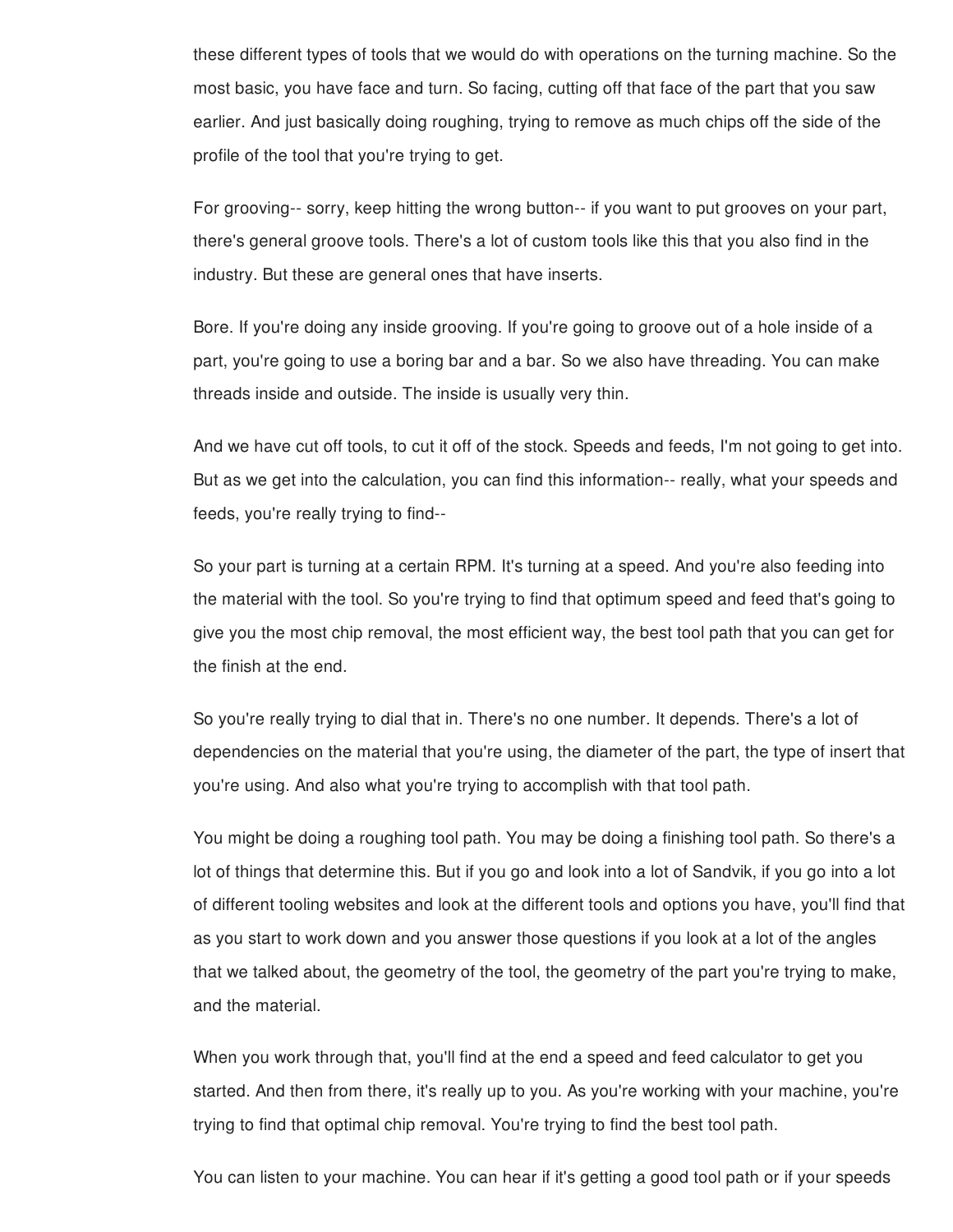these different types of tools that we would do with operations on the turning machine. So the most basic, you have face and turn. So facing, cutting off that face of the part that you saw earlier. And just basically doing roughing, trying to remove as much chips off the side of the profile of the tool that you're trying to get.

For grooving-- sorry, keep hitting the wrong button-- if you want to put grooves on your part, there's general groove tools. There's a lot of custom tools like this that you also find in the industry. But these are general ones that have inserts.

Bore. If you're doing any inside grooving. If you're going to groove out of a hole inside of a part, you're going to use a boring bar and a bar. So we also have threading. You can make threads inside and outside. The inside is usually very thin.

And we have cut off tools, to cut it off of the stock. Speeds and feeds, I'm not going to get into. But as we get into the calculation, you can find this information-- really, what your speeds and feeds, you're really trying to find--

So your part is turning at a certain RPM. It's turning at a speed. And you're also feeding into the material with the tool. So you're trying to find that optimum speed and feed that's going to give you the most chip removal, the most efficient way, the best tool path that you can get for the finish at the end.

So you're really trying to dial that in. There's no one number. It depends. There's a lot of dependencies on the material that you're using, the diameter of the part, the type of insert that you're using. And also what you're trying to accomplish with that tool path.

You might be doing a roughing tool path. You may be doing a finishing tool path. So there's a lot of things that determine this. But if you go and look into a lot of Sandvik, if you go into a lot of different tooling websites and look at the different tools and options you have, you'll find that as you start to work down and you answer those questions if you look at a lot of the angles that we talked about, the geometry of the tool, the geometry of the part you're trying to make, and the material.

When you work through that, you'll find at the end a speed and feed calculator to get you started. And then from there, it's really up to you. As you're working with your machine, you're trying to find that optimal chip removal. You're trying to find the best tool path.

You can listen to your machine. You can hear if it's getting a good tool path or if your speeds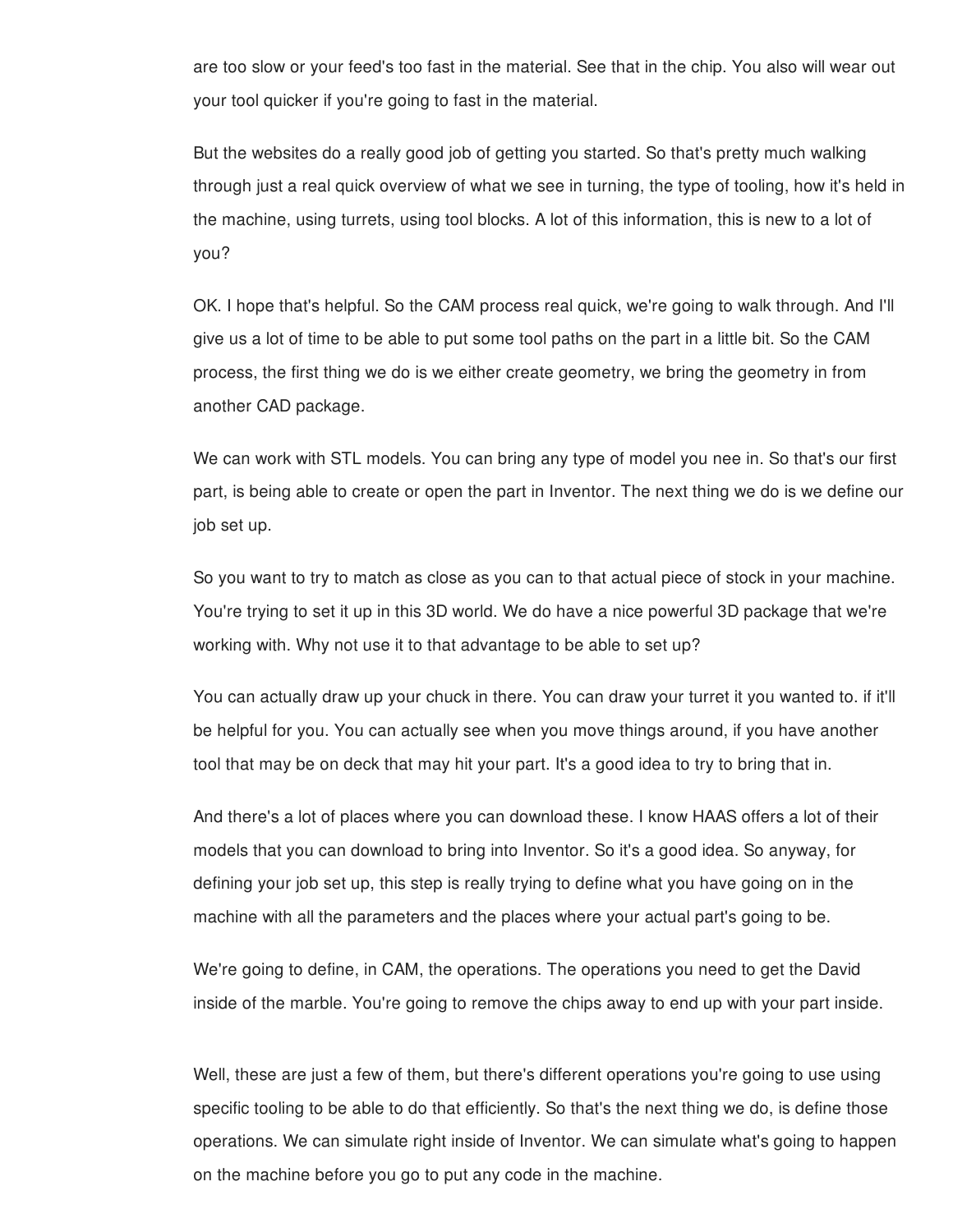are too slow or your feed's too fast in the material. See that in the chip. You also will wear out your tool quicker if you're going to fast in the material.

But the websites do a really good job of getting you started. So that's pretty much walking through just a real quick overview of what we see in turning, the type of tooling, how it's held in the machine, using turrets, using tool blocks. A lot of this information, this is new to a lot of you?

OK. I hope that's helpful. So the CAM process real quick, we're going to walk through. And I'll give us a lot of time to be able to put some tool paths on the part in a little bit. So the CAM process, the first thing we do is we either create geometry, we bring the geometry in from another CAD package.

We can work with STL models. You can bring any type of model you nee in. So that's our first part, is being able to create or open the part in Inventor. The next thing we do is we define our job set up.

So you want to try to match as close as you can to that actual piece of stock in your machine. You're trying to set it up in this 3D world. We do have a nice powerful 3D package that we're working with. Why not use it to that advantage to be able to set up?

You can actually draw up your chuck in there. You can draw your turret it you wanted to. if it'll be helpful for you. You can actually see when you move things around, if you have another tool that may be on deck that may hit your part. It's a good idea to try to bring that in.

And there's a lot of places where you can download these. I know HAAS offers a lot of their models that you can download to bring into Inventor. So it's a good idea. So anyway, for defining your job set up, this step is really trying to define what you have going on in the machine with all the parameters and the places where your actual part's going to be.

We're going to define, in CAM, the operations. The operations you need to get the David inside of the marble. You're going to remove the chips away to end up with your part inside.

Well, these are just a few of them, but there's different operations you're going to use using specific tooling to be able to do that efficiently. So that's the next thing we do, is define those operations. We can simulate right inside of Inventor. We can simulate what's going to happen on the machine before you go to put any code in the machine.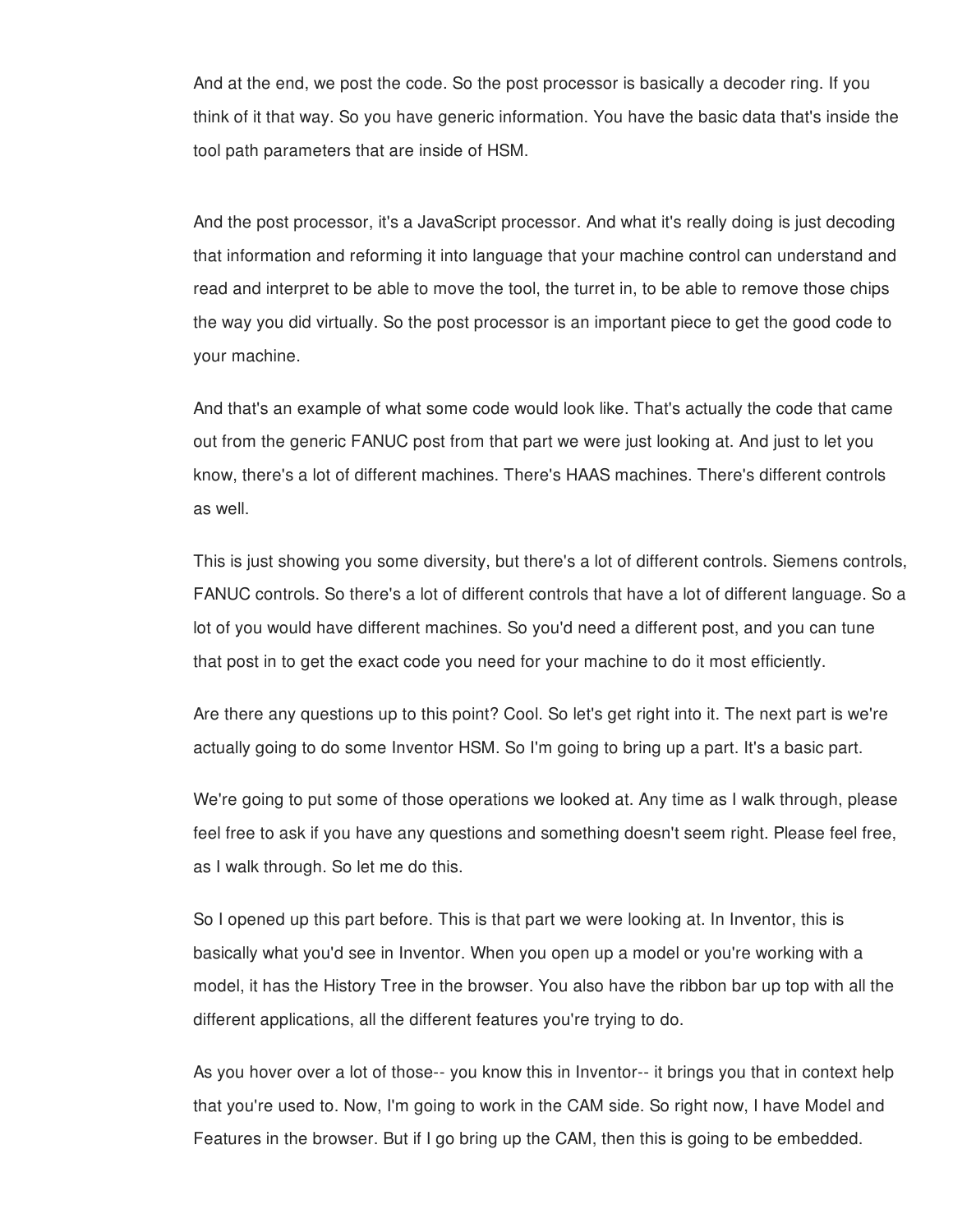And at the end, we post the code. So the post processor is basically a decoder ring. If you think of it that way. So you have generic information. You have the basic data that's inside the tool path parameters that are inside of HSM.

And the post processor, it's a JavaScript processor. And what it's really doing is just decoding that information and reforming it into language that your machine control can understand and read and interpret to be able to move the tool, the turret in, to be able to remove those chips the way you did virtually. So the post processor is an important piece to get the good code to your machine.

And that's an example of what some code would look like. That's actually the code that came out from the generic FANUC post from that part we were just looking at. And just to let you know, there's a lot of different machines. There's HAAS machines. There's different controls as well.

This is just showing you some diversity, but there's a lot of different controls. Siemens controls, FANUC controls. So there's a lot of different controls that have a lot of different language. So a lot of you would have different machines. So you'd need a different post, and you can tune that post in to get the exact code you need for your machine to do it most efficiently.

Are there any questions up to this point? Cool. So let's get right into it. The next part is we're actually going to do some Inventor HSM. So I'm going to bring up a part. It's a basic part.

We're going to put some of those operations we looked at. Any time as I walk through, please feel free to ask if you have any questions and something doesn't seem right. Please feel free, as I walk through. So let me do this.

So I opened up this part before. This is that part we were looking at. In Inventor, this is basically what you'd see in Inventor. When you open up a model or you're working with a model, it has the History Tree in the browser. You also have the ribbon bar up top with all the different applications, all the different features you're trying to do.

As you hover over a lot of those-- you know this in Inventor-- it brings you that in context help that you're used to. Now, I'm going to work in the CAM side. So right now, I have Model and Features in the browser. But if I go bring up the CAM, then this is going to be embedded.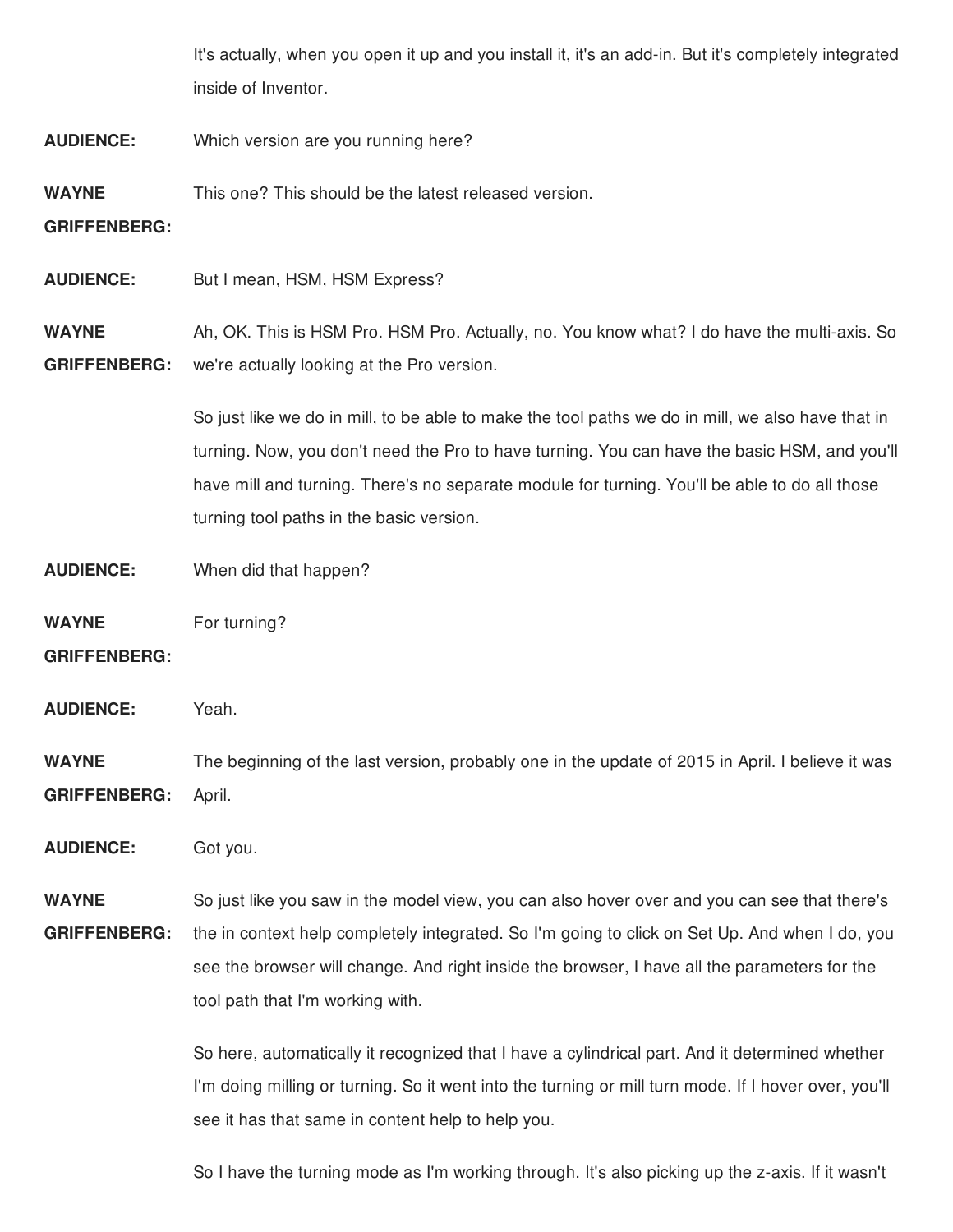It's actually, when you open it up and you install it, it's an add-in. But it's completely integrated inside of Inventor.

**AUDIENCE:** Which version are you running here?

**WAYNE** This one? This should be the latest released version.

## **GRIFFENBERG:**

**AUDIENCE:** But I mean, HSM, HSM Express?

**WAYNE GRIFFENBERG:** Ah, OK. This is HSM Pro. HSM Pro. Actually, no. You know what? I do have the multi-axis. So we're actually looking at the Pro version.

> So just like we do in mill, to be able to make the tool paths we do in mill, we also have that in turning. Now, you don't need the Pro to have turning. You can have the basic HSM, and you'll have mill and turning. There's no separate module for turning. You'll be able to do all those turning tool paths in the basic version.

- **AUDIENCE:** When did that happen?
- **WAYNE** For turning?
- **GRIFFENBERG:**
- **AUDIENCE:** Yeah.

**WAYNE GRIFFENBERG:** The beginning of the last version, probably one in the update of 2015 in April. I believe it was April.

**AUDIENCE:** Got you.

**WAYNE GRIFFENBERG:** So just like you saw in the model view, you can also hover over and you can see that there's the in context help completely integrated. So I'm going to click on Set Up. And when I do, you see the browser will change. And right inside the browser, I have all the parameters for the tool path that I'm working with.

> So here, automatically it recognized that I have a cylindrical part. And it determined whether I'm doing milling or turning. So it went into the turning or mill turn mode. If I hover over, you'll see it has that same in content help to help you.

> So I have the turning mode as I'm working through. It's also picking up the z-axis. If it wasn't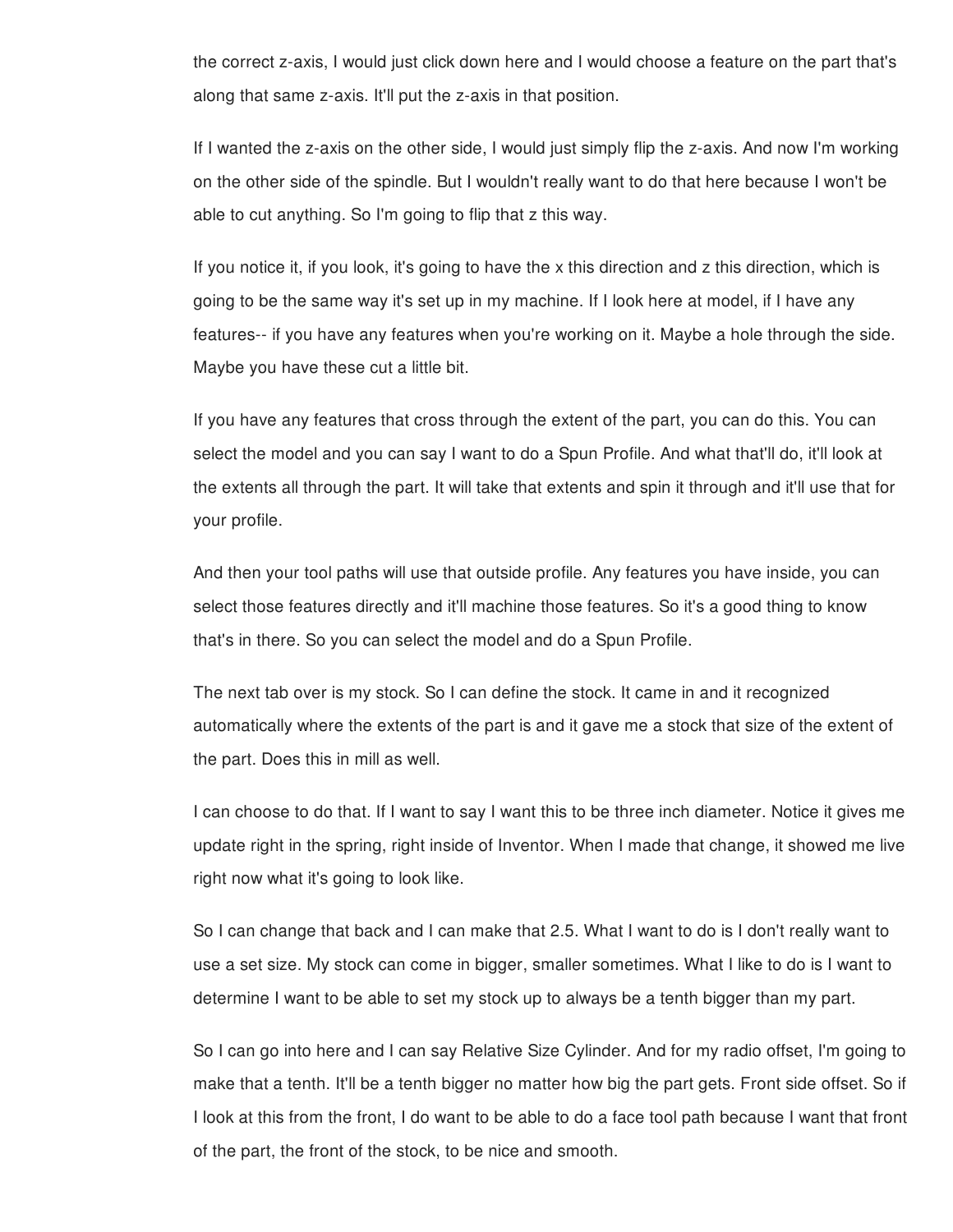the correct z-axis, I would just click down here and I would choose a feature on the part that's along that same z-axis. It'll put the z-axis in that position.

If I wanted the z-axis on the other side, I would just simply flip the z-axis. And now I'm working on the other side of the spindle. But I wouldn't really want to do that here because I won't be able to cut anything. So I'm going to flip that z this way.

If you notice it, if you look, it's going to have the x this direction and z this direction, which is going to be the same way it's set up in my machine. If I look here at model, if I have any features-- if you have any features when you're working on it. Maybe a hole through the side. Maybe you have these cut a little bit.

If you have any features that cross through the extent of the part, you can do this. You can select the model and you can say I want to do a Spun Profile. And what that'll do, it'll look at the extents all through the part. It will take that extents and spin it through and it'll use that for your profile.

And then your tool paths will use that outside profile. Any features you have inside, you can select those features directly and it'll machine those features. So it's a good thing to know that's in there. So you can select the model and do a Spun Profile.

The next tab over is my stock. So I can define the stock. It came in and it recognized automatically where the extents of the part is and it gave me a stock that size of the extent of the part. Does this in mill as well.

I can choose to do that. If I want to say I want this to be three inch diameter. Notice it gives me update right in the spring, right inside of Inventor. When I made that change, it showed me live right now what it's going to look like.

So I can change that back and I can make that 2.5. What I want to do is I don't really want to use a set size. My stock can come in bigger, smaller sometimes. What I like to do is I want to determine I want to be able to set my stock up to always be a tenth bigger than my part.

So I can go into here and I can say Relative Size Cylinder. And for my radio offset, I'm going to make that a tenth. It'll be a tenth bigger no matter how big the part gets. Front side offset. So if I look at this from the front, I do want to be able to do a face tool path because I want that front of the part, the front of the stock, to be nice and smooth.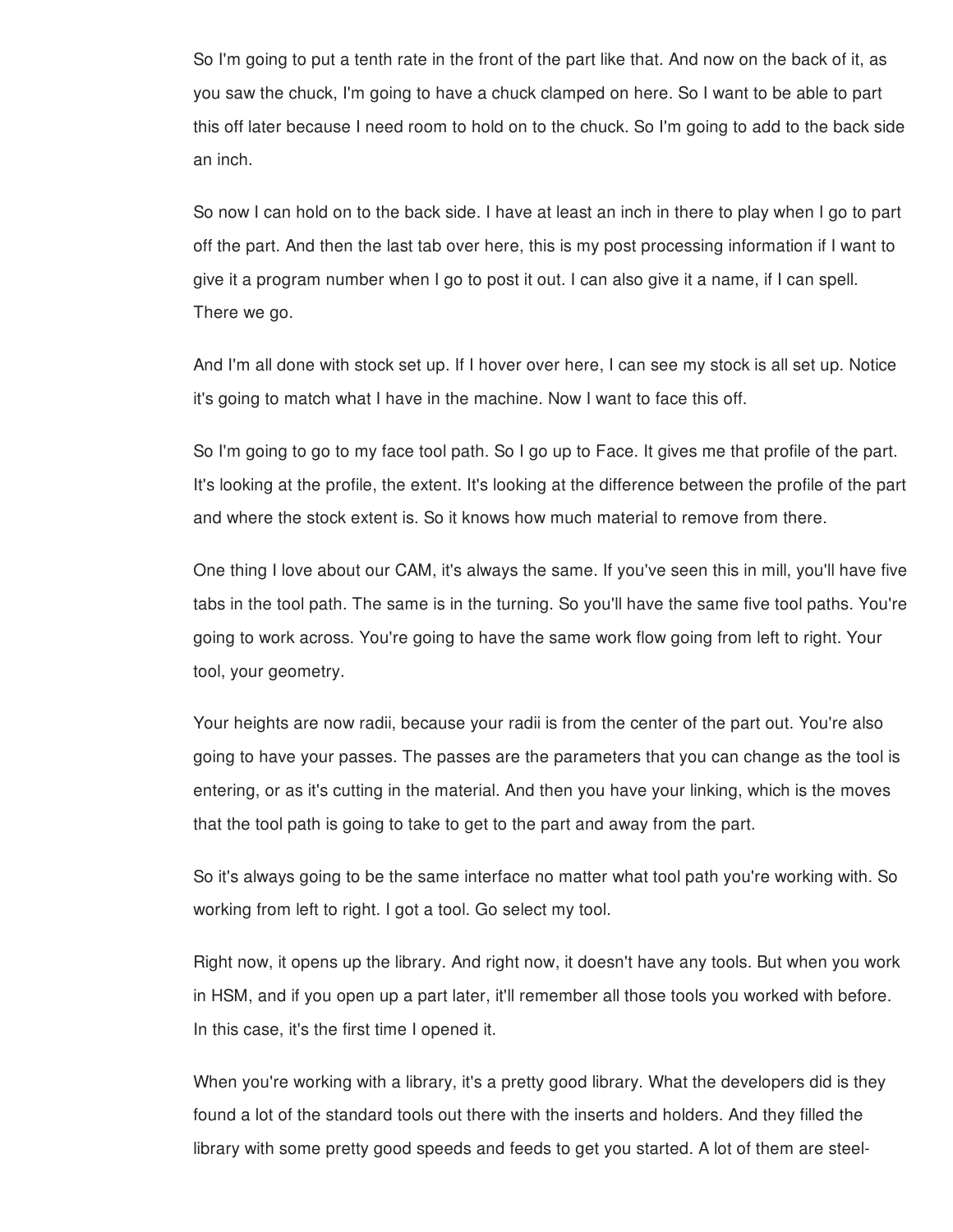So I'm going to put a tenth rate in the front of the part like that. And now on the back of it, as you saw the chuck, I'm going to have a chuck clamped on here. So I want to be able to part this off later because I need room to hold on to the chuck. So I'm going to add to the back side an inch.

So now I can hold on to the back side. I have at least an inch in there to play when I go to part off the part. And then the last tab over here, this is my post processing information if I want to give it a program number when I go to post it out. I can also give it a name, if I can spell. There we go.

And I'm all done with stock set up. If I hover over here, I can see my stock is all set up. Notice it's going to match what I have in the machine. Now I want to face this off.

So I'm going to go to my face tool path. So I go up to Face. It gives me that profile of the part. It's looking at the profile, the extent. It's looking at the difference between the profile of the part and where the stock extent is. So it knows how much material to remove from there.

One thing I love about our CAM, it's always the same. If you've seen this in mill, you'll have five tabs in the tool path. The same is in the turning. So you'll have the same five tool paths. You're going to work across. You're going to have the same work flow going from left to right. Your tool, your geometry.

Your heights are now radii, because your radii is from the center of the part out. You're also going to have your passes. The passes are the parameters that you can change as the tool is entering, or as it's cutting in the material. And then you have your linking, which is the moves that the tool path is going to take to get to the part and away from the part.

So it's always going to be the same interface no matter what tool path you're working with. So working from left to right. I got a tool. Go select my tool.

Right now, it opens up the library. And right now, it doesn't have any tools. But when you work in HSM, and if you open up a part later, it'll remember all those tools you worked with before. In this case, it's the first time I opened it.

When you're working with a library, it's a pretty good library. What the developers did is they found a lot of the standard tools out there with the inserts and holders. And they filled the library with some pretty good speeds and feeds to get you started. A lot of them are steel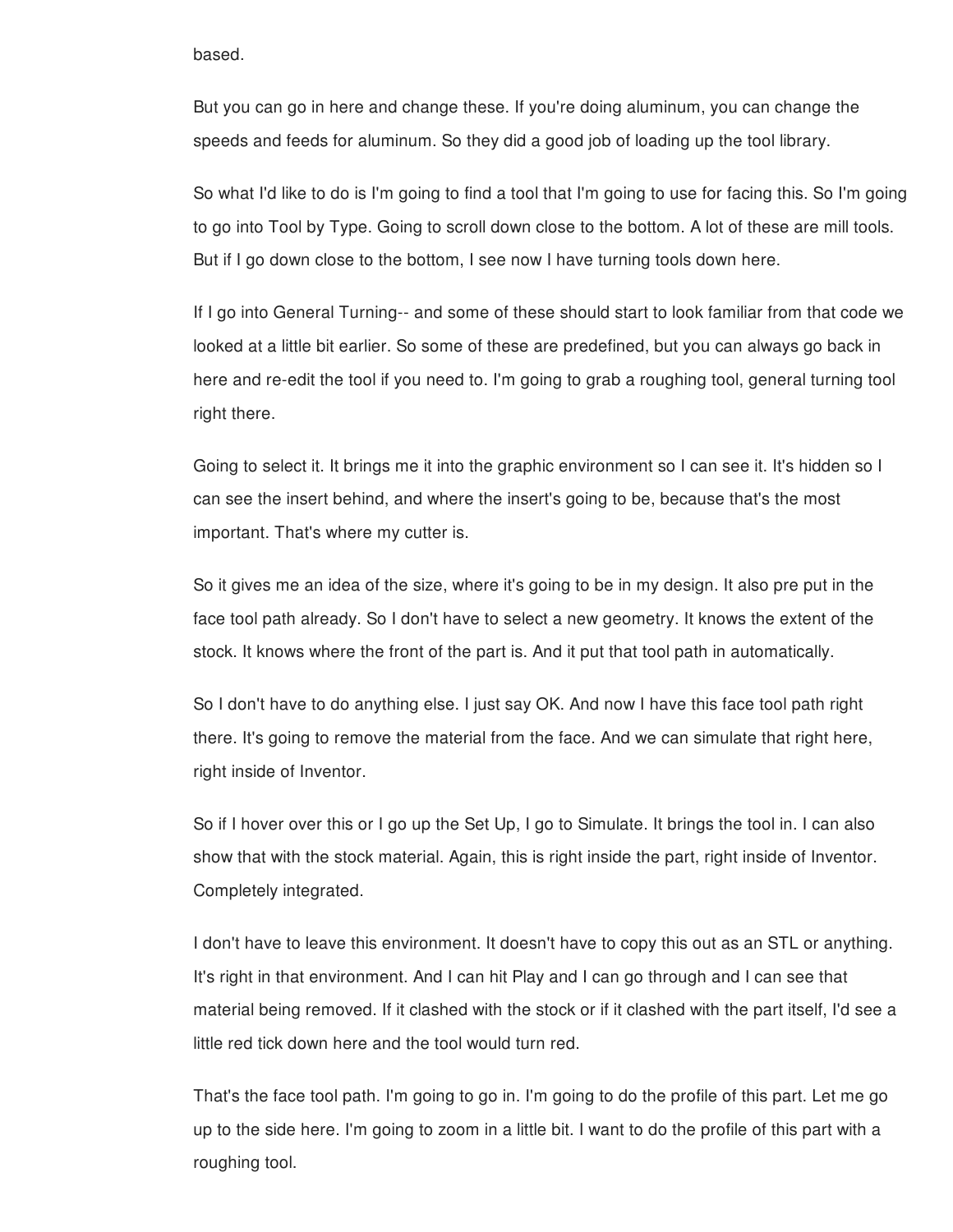based.

But you can go in here and change these. If you're doing aluminum, you can change the speeds and feeds for aluminum. So they did a good job of loading up the tool library.

So what I'd like to do is I'm going to find a tool that I'm going to use for facing this. So I'm going to go into Tool by Type. Going to scroll down close to the bottom. A lot of these are mill tools. But if I go down close to the bottom, I see now I have turning tools down here.

If I go into General Turning-- and some of these should start to look familiar from that code we looked at a little bit earlier. So some of these are predefined, but you can always go back in here and re-edit the tool if you need to. I'm going to grab a roughing tool, general turning tool right there.

Going to select it. It brings me it into the graphic environment so I can see it. It's hidden so I can see the insert behind, and where the insert's going to be, because that's the most important. That's where my cutter is.

So it gives me an idea of the size, where it's going to be in my design. It also pre put in the face tool path already. So I don't have to select a new geometry. It knows the extent of the stock. It knows where the front of the part is. And it put that tool path in automatically.

So I don't have to do anything else. I just say OK. And now I have this face tool path right there. It's going to remove the material from the face. And we can simulate that right here, right inside of Inventor.

So if I hover over this or I go up the Set Up, I go to Simulate. It brings the tool in. I can also show that with the stock material. Again, this is right inside the part, right inside of Inventor. Completely integrated.

I don't have to leave this environment. It doesn't have to copy this out as an STL or anything. It's right in that environment. And I can hit Play and I can go through and I can see that material being removed. If it clashed with the stock or if it clashed with the part itself, I'd see a little red tick down here and the tool would turn red.

That's the face tool path. I'm going to go in. I'm going to do the profile of this part. Let me go up to the side here. I'm going to zoom in a little bit. I want to do the profile of this part with a roughing tool.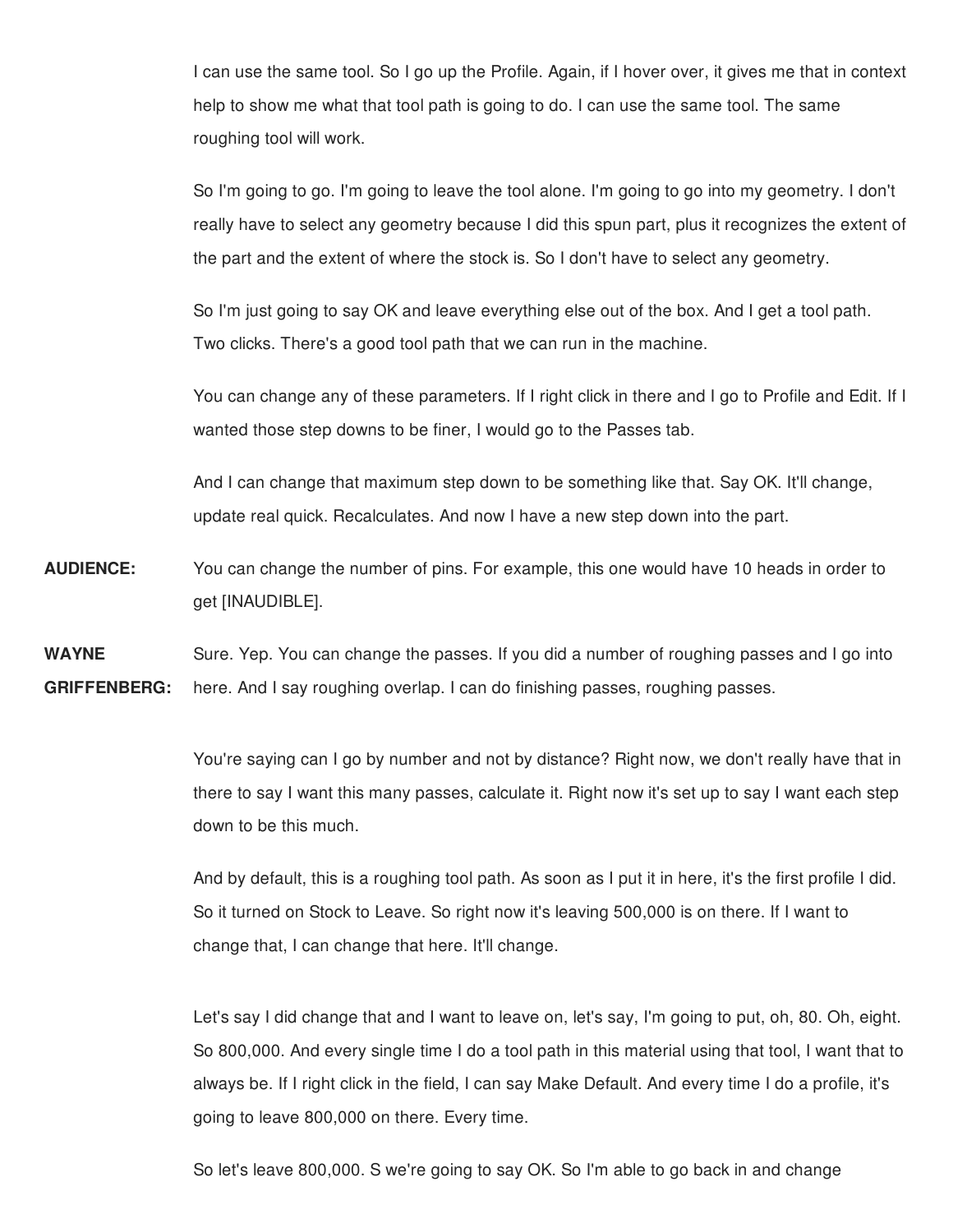I can use the same tool. So I go up the Profile. Again, if I hover over, it gives me that in context help to show me what that tool path is going to do. I can use the same tool. The same roughing tool will work.

So I'm going to go. I'm going to leave the tool alone. I'm going to go into my geometry. I don't really have to select any geometry because I did this spun part, plus it recognizes the extent of the part and the extent of where the stock is. So I don't have to select any geometry.

So I'm just going to say OK and leave everything else out of the box. And I get a tool path. Two clicks. There's a good tool path that we can run in the machine.

You can change any of these parameters. If I right click in there and I go to Profile and Edit. If I wanted those step downs to be finer, I would go to the Passes tab.

And I can change that maximum step down to be something like that. Say OK. It'll change, update real quick. Recalculates. And now I have a new step down into the part.

**AUDIENCE:** You can change the number of pins. For example, this one would have 10 heads in order to get [INAUDIBLE].

**WAYNE GRIFFENBERG:** Sure. Yep. You can change the passes. If you did a number of roughing passes and I go into here. And I say roughing overlap. I can do finishing passes, roughing passes.

> You're saying can I go by number and not by distance? Right now, we don't really have that in there to say I want this many passes, calculate it. Right now it's set up to say I want each step down to be this much.

> And by default, this is a roughing tool path. As soon as I put it in here, it's the first profile I did. So it turned on Stock to Leave. So right now it's leaving 500,000 is on there. If I want to change that, I can change that here. It'll change.

> Let's say I did change that and I want to leave on, let's say, I'm going to put, oh, 80. Oh, eight. So 800,000. And every single time I do a tool path in this material using that tool, I want that to always be. If I right click in the field, I can say Make Default. And every time I do a profile, it's going to leave 800,000 on there. Every time.

So let's leave 800,000. S we're going to say OK. So I'm able to go back in and change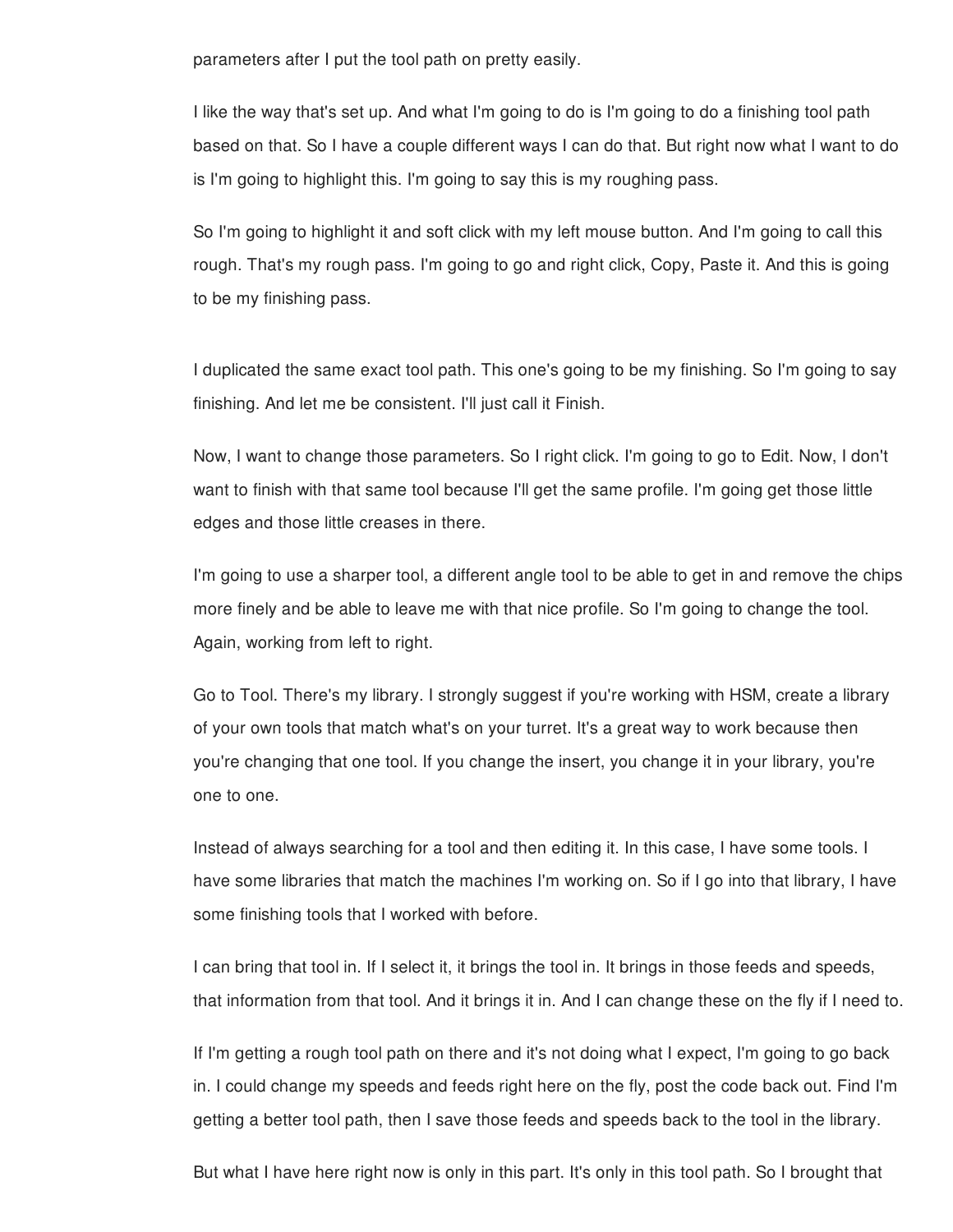parameters after I put the tool path on pretty easily.

I like the way that's set up. And what I'm going to do is I'm going to do a finishing tool path based on that. So I have a couple different ways I can do that. But right now what I want to do is I'm going to highlight this. I'm going to say this is my roughing pass.

So I'm going to highlight it and soft click with my left mouse button. And I'm going to call this rough. That's my rough pass. I'm going to go and right click, Copy, Paste it. And this is going to be my finishing pass.

I duplicated the same exact tool path. This one's going to be my finishing. So I'm going to say finishing. And let me be consistent. I'll just call it Finish.

Now, I want to change those parameters. So I right click. I'm going to go to Edit. Now, I don't want to finish with that same tool because I'll get the same profile. I'm going get those little edges and those little creases in there.

I'm going to use a sharper tool, a different angle tool to be able to get in and remove the chips more finely and be able to leave me with that nice profile. So I'm going to change the tool. Again, working from left to right.

Go to Tool. There's my library. I strongly suggest if you're working with HSM, create a library of your own tools that match what's on your turret. It's a great way to work because then you're changing that one tool. If you change the insert, you change it in your library, you're one to one.

Instead of always searching for a tool and then editing it. In this case, I have some tools. I have some libraries that match the machines I'm working on. So if I go into that library, I have some finishing tools that I worked with before.

I can bring that tool in. If I select it, it brings the tool in. It brings in those feeds and speeds, that information from that tool. And it brings it in. And I can change these on the fly if I need to.

If I'm getting a rough tool path on there and it's not doing what I expect, I'm going to go back in. I could change my speeds and feeds right here on the fly, post the code back out. Find I'm getting a better tool path, then I save those feeds and speeds back to the tool in the library.

But what I have here right now is only in this part. It's only in this tool path. So I brought that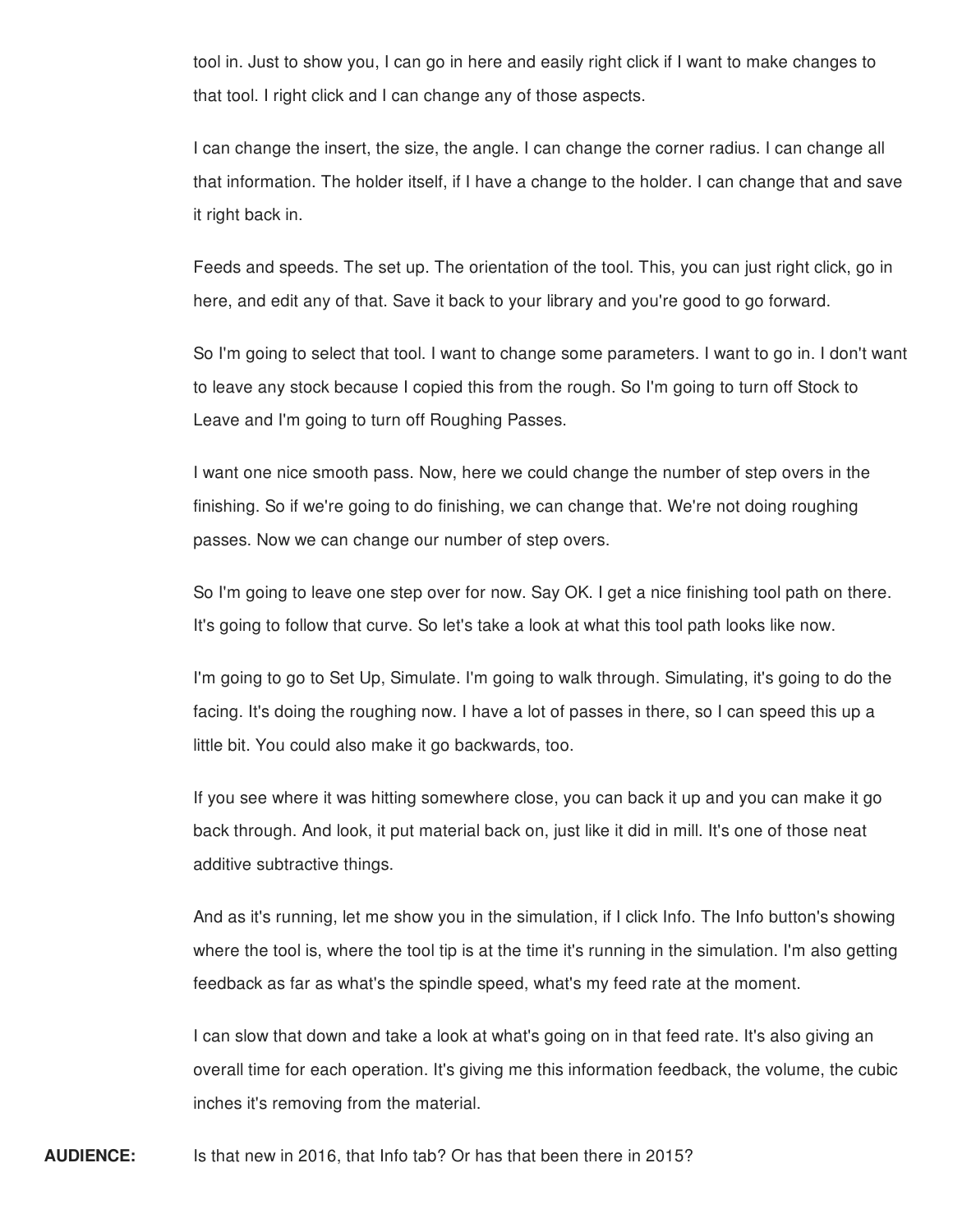tool in. Just to show you, I can go in here and easily right click if I want to make changes to that tool. I right click and I can change any of those aspects.

I can change the insert, the size, the angle. I can change the corner radius. I can change all that information. The holder itself, if I have a change to the holder. I can change that and save it right back in.

Feeds and speeds. The set up. The orientation of the tool. This, you can just right click, go in here, and edit any of that. Save it back to your library and you're good to go forward.

So I'm going to select that tool. I want to change some parameters. I want to go in. I don't want to leave any stock because I copied this from the rough. So I'm going to turn off Stock to Leave and I'm going to turn off Roughing Passes.

I want one nice smooth pass. Now, here we could change the number of step overs in the finishing. So if we're going to do finishing, we can change that. We're not doing roughing passes. Now we can change our number of step overs.

So I'm going to leave one step over for now. Say OK. I get a nice finishing tool path on there. It's going to follow that curve. So let's take a look at what this tool path looks like now.

I'm going to go to Set Up, Simulate. I'm going to walk through. Simulating, it's going to do the facing. It's doing the roughing now. I have a lot of passes in there, so I can speed this up a little bit. You could also make it go backwards, too.

If you see where it was hitting somewhere close, you can back it up and you can make it go back through. And look, it put material back on, just like it did in mill. It's one of those neat additive subtractive things.

And as it's running, let me show you in the simulation, if I click Info. The Info button's showing where the tool is, where the tool tip is at the time it's running in the simulation. I'm also getting feedback as far as what's the spindle speed, what's my feed rate at the moment.

I can slow that down and take a look at what's going on in that feed rate. It's also giving an overall time for each operation. It's giving me this information feedback, the volume, the cubic inches it's removing from the material.

**AUDIENCE:** Is that new in 2016, that Info tab? Or has that been there in 2015?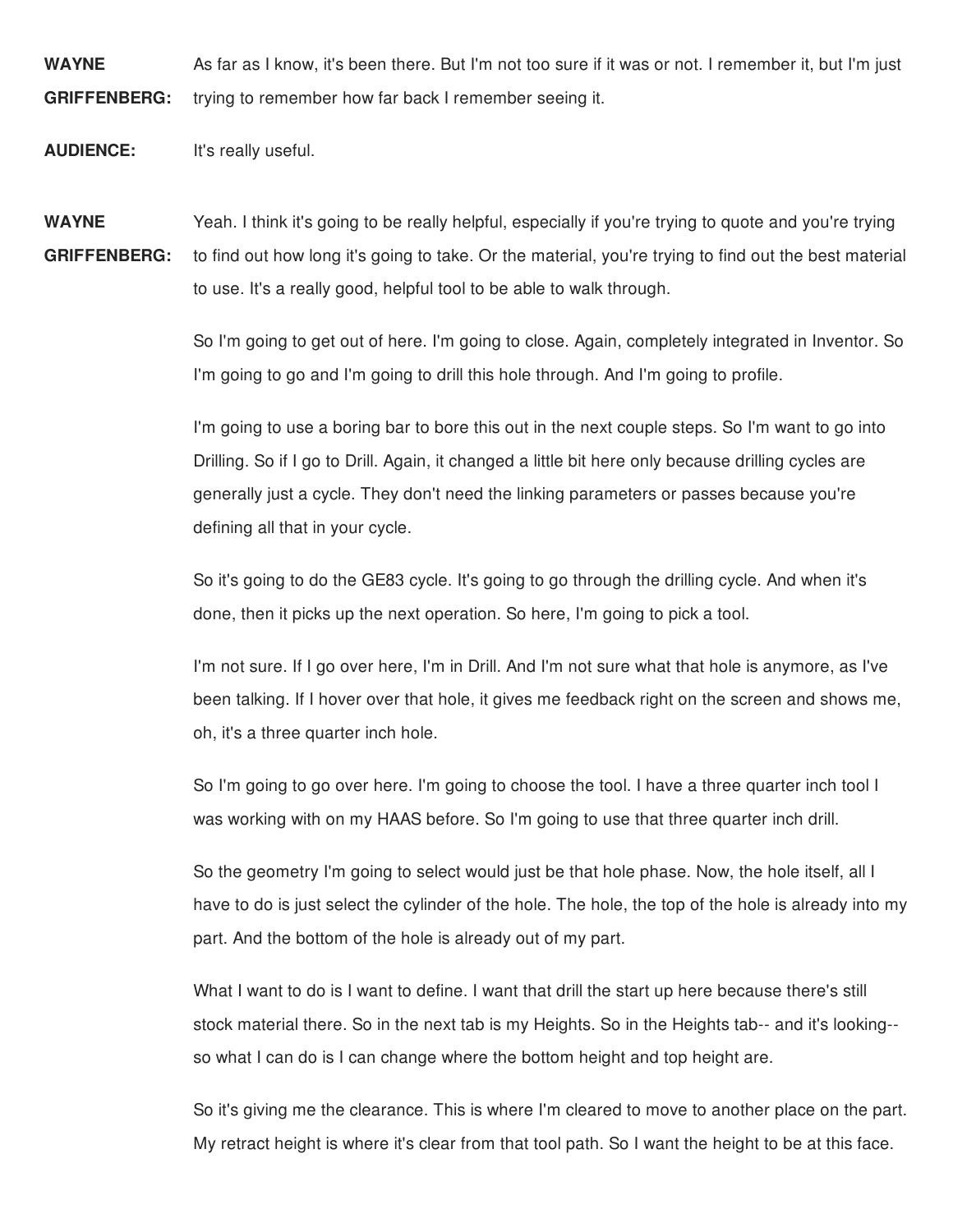**WAYNE GRIFFENBERG:** As far as I know, it's been there. But I'm not too sure if it was or not. I remember it, but I'm just trying to remember how far back I remember seeing it.

**AUDIENCE:** It's really useful.

**WAYNE GRIFFENBERG:** Yeah. I think it's going to be really helpful, especially if you're trying to quote and you're trying to find out how long it's going to take. Or the material, you're trying to find out the best material to use. It's a really good, helpful tool to be able to walk through.

> So I'm going to get out of here. I'm going to close. Again, completely integrated in Inventor. So I'm going to go and I'm going to drill this hole through. And I'm going to profile.

I'm going to use a boring bar to bore this out in the next couple steps. So I'm want to go into Drilling. So if I go to Drill. Again, it changed a little bit here only because drilling cycles are generally just a cycle. They don't need the linking parameters or passes because you're defining all that in your cycle.

So it's going to do the GE83 cycle. It's going to go through the drilling cycle. And when it's done, then it picks up the next operation. So here, I'm going to pick a tool.

I'm not sure. If I go over here, I'm in Drill. And I'm not sure what that hole is anymore, as I've been talking. If I hover over that hole, it gives me feedback right on the screen and shows me, oh, it's a three quarter inch hole.

So I'm going to go over here. I'm going to choose the tool. I have a three quarter inch tool I was working with on my HAAS before. So I'm going to use that three quarter inch drill.

So the geometry I'm going to select would just be that hole phase. Now, the hole itself, all I have to do is just select the cylinder of the hole. The hole, the top of the hole is already into my part. And the bottom of the hole is already out of my part.

What I want to do is I want to define. I want that drill the start up here because there's still stock material there. So in the next tab is my Heights. So in the Heights tab-- and it's looking- so what I can do is I can change where the bottom height and top height are.

So it's giving me the clearance. This is where I'm cleared to move to another place on the part. My retract height is where it's clear from that tool path. So I want the height to be at this face.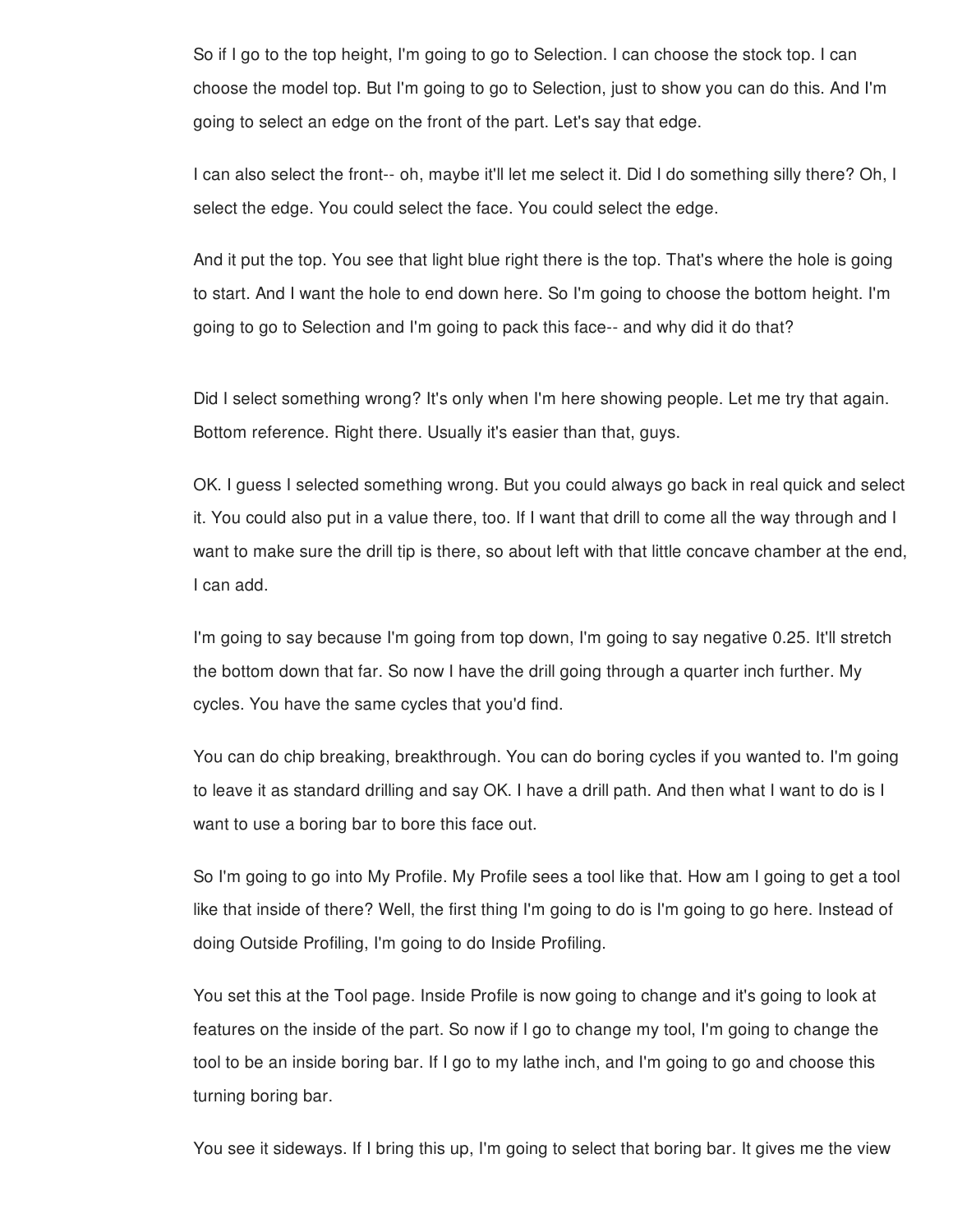So if I go to the top height, I'm going to go to Selection. I can choose the stock top. I can choose the model top. But I'm going to go to Selection, just to show you can do this. And I'm going to select an edge on the front of the part. Let's say that edge.

I can also select the front-- oh, maybe it'll let me select it. Did I do something silly there? Oh, I select the edge. You could select the face. You could select the edge.

And it put the top. You see that light blue right there is the top. That's where the hole is going to start. And I want the hole to end down here. So I'm going to choose the bottom height. I'm going to go to Selection and I'm going to pack this face-- and why did it do that?

Did I select something wrong? It's only when I'm here showing people. Let me try that again. Bottom reference. Right there. Usually it's easier than that, guys.

OK. I guess I selected something wrong. But you could always go back in real quick and select it. You could also put in a value there, too. If I want that drill to come all the way through and I want to make sure the drill tip is there, so about left with that little concave chamber at the end, I can add.

I'm going to say because I'm going from top down, I'm going to say negative 0.25. It'll stretch the bottom down that far. So now I have the drill going through a quarter inch further. My cycles. You have the same cycles that you'd find.

You can do chip breaking, breakthrough. You can do boring cycles if you wanted to. I'm going to leave it as standard drilling and say OK. I have a drill path. And then what I want to do is I want to use a boring bar to bore this face out.

So I'm going to go into My Profile. My Profile sees a tool like that. How am I going to get a tool like that inside of there? Well, the first thing I'm going to do is I'm going to go here. Instead of doing Outside Profiling, I'm going to do Inside Profiling.

You set this at the Tool page. Inside Profile is now going to change and it's going to look at features on the inside of the part. So now if I go to change my tool, I'm going to change the tool to be an inside boring bar. If I go to my lathe inch, and I'm going to go and choose this turning boring bar.

You see it sideways. If I bring this up, I'm going to select that boring bar. It gives me the view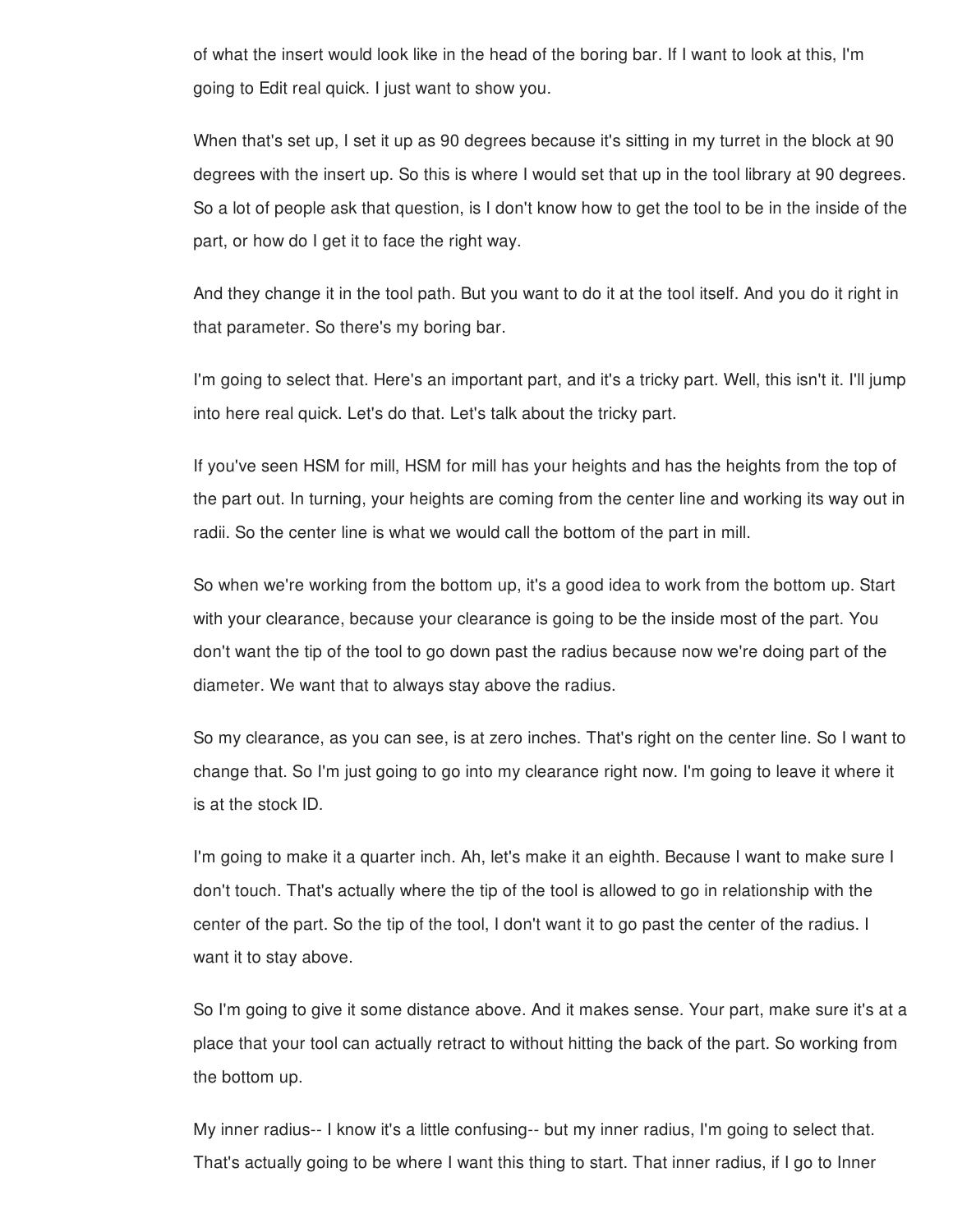of what the insert would look like in the head of the boring bar. If I want to look at this, I'm going to Edit real quick. I just want to show you.

When that's set up, I set it up as 90 degrees because it's sitting in my turret in the block at 90 degrees with the insert up. So this is where I would set that up in the tool library at 90 degrees. So a lot of people ask that question, is I don't know how to get the tool to be in the inside of the part, or how do I get it to face the right way.

And they change it in the tool path. But you want to do it at the tool itself. And you do it right in that parameter. So there's my boring bar.

I'm going to select that. Here's an important part, and it's a tricky part. Well, this isn't it. I'll jump into here real quick. Let's do that. Let's talk about the tricky part.

If you've seen HSM for mill, HSM for mill has your heights and has the heights from the top of the part out. In turning, your heights are coming from the center line and working its way out in radii. So the center line is what we would call the bottom of the part in mill.

So when we're working from the bottom up, it's a good idea to work from the bottom up. Start with your clearance, because your clearance is going to be the inside most of the part. You don't want the tip of the tool to go down past the radius because now we're doing part of the diameter. We want that to always stay above the radius.

So my clearance, as you can see, is at zero inches. That's right on the center line. So I want to change that. So I'm just going to go into my clearance right now. I'm going to leave it where it is at the stock ID.

I'm going to make it a quarter inch. Ah, let's make it an eighth. Because I want to make sure I don't touch. That's actually where the tip of the tool is allowed to go in relationship with the center of the part. So the tip of the tool, I don't want it to go past the center of the radius. I want it to stay above.

So I'm going to give it some distance above. And it makes sense. Your part, make sure it's at a place that your tool can actually retract to without hitting the back of the part. So working from the bottom up.

My inner radius-- I know it's a little confusing-- but my inner radius, I'm going to select that. That's actually going to be where I want this thing to start. That inner radius, if I go to Inner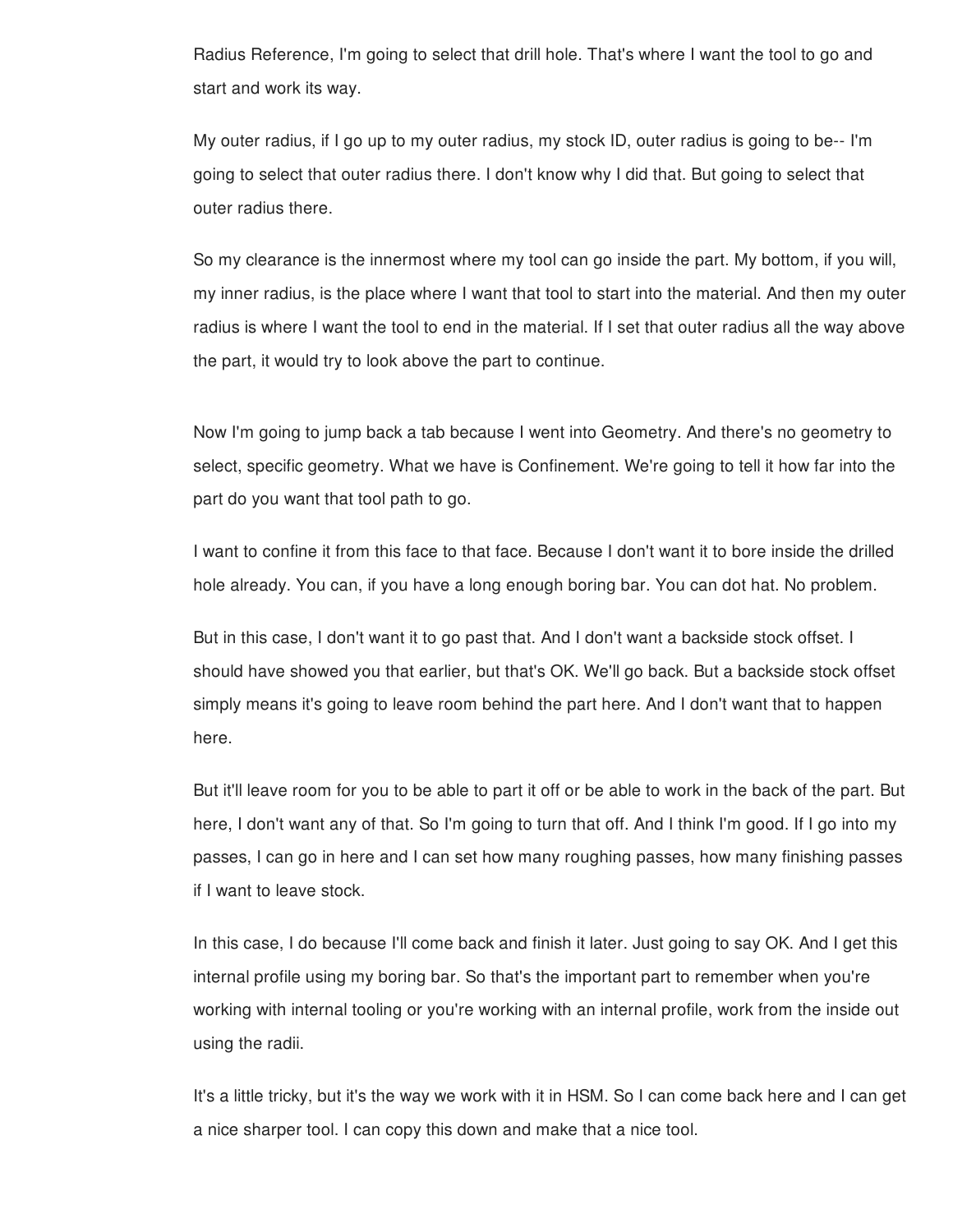Radius Reference, I'm going to select that drill hole. That's where I want the tool to go and start and work its way.

My outer radius, if I go up to my outer radius, my stock ID, outer radius is going to be-- I'm going to select that outer radius there. I don't know why I did that. But going to select that outer radius there.

So my clearance is the innermost where my tool can go inside the part. My bottom, if you will, my inner radius, is the place where I want that tool to start into the material. And then my outer radius is where I want the tool to end in the material. If I set that outer radius all the way above the part, it would try to look above the part to continue.

Now I'm going to jump back a tab because I went into Geometry. And there's no geometry to select, specific geometry. What we have is Confinement. We're going to tell it how far into the part do you want that tool path to go.

I want to confine it from this face to that face. Because I don't want it to bore inside the drilled hole already. You can, if you have a long enough boring bar. You can dot hat. No problem.

But in this case, I don't want it to go past that. And I don't want a backside stock offset. I should have showed you that earlier, but that's OK. We'll go back. But a backside stock offset simply means it's going to leave room behind the part here. And I don't want that to happen here.

But it'll leave room for you to be able to part it off or be able to work in the back of the part. But here, I don't want any of that. So I'm going to turn that off. And I think I'm good. If I go into my passes, I can go in here and I can set how many roughing passes, how many finishing passes if I want to leave stock.

In this case, I do because I'll come back and finish it later. Just going to say OK. And I get this internal profile using my boring bar. So that's the important part to remember when you're working with internal tooling or you're working with an internal profile, work from the inside out using the radii.

It's a little tricky, but it's the way we work with it in HSM. So I can come back here and I can get a nice sharper tool. I can copy this down and make that a nice tool.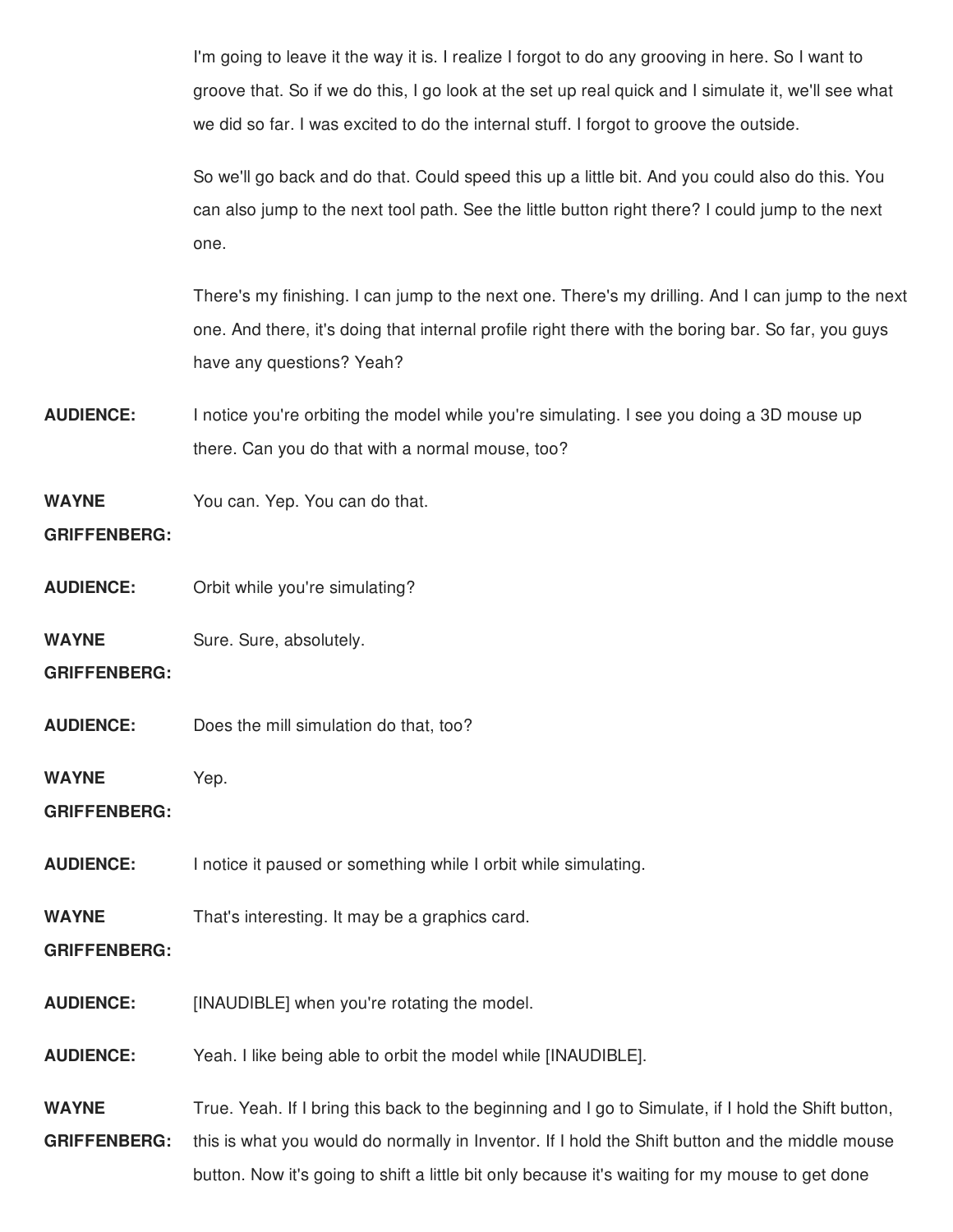I'm going to leave it the way it is. I realize I forgot to do any grooving in here. So I want to groove that. So if we do this, I go look at the set up real quick and I simulate it, we'll see what we did so far. I was excited to do the internal stuff. I forgot to groove the outside.

So we'll go back and do that. Could speed this up a little bit. And you could also do this. You can also jump to the next tool path. See the little button right there? I could jump to the next one.

There's my finishing. I can jump to the next one. There's my drilling. And I can jump to the next one. And there, it's doing that internal profile right there with the boring bar. So far, you guys have any questions? Yeah?

**AUDIENCE:** I notice you're orbiting the model while you're simulating. I see you doing a 3D mouse up there. Can you do that with a normal mouse, too?

**WAYNE** You can. Yep. You can do that.

## **GRIFFENBERG:**

**AUDIENCE:** Orbit while you're simulating?

**WAYNE** Sure. Sure, absolutely.

#### **GRIFFENBERG:**

- **AUDIENCE:** Does the mill simulation do that, too?
- **WAYNE** Yep.

## **GRIFFENBERG:**

**AUDIENCE:** I notice it paused or something while I orbit while simulating.

**WAYNE** That's interesting. It may be a graphics card.

## **GRIFFENBERG:**

**AUDIENCE:** [INAUDIBLE] when you're rotating the model.

**AUDIENCE:** Yeah. I like being able to orbit the model while [INAUDIBLE].

**WAYNE GRIFFENBERG:** True. Yeah. If I bring this back to the beginning and I go to Simulate, if I hold the Shift button, this is what you would do normally in Inventor. If I hold the Shift button and the middle mouse button. Now it's going to shift a little bit only because it's waiting for my mouse to get done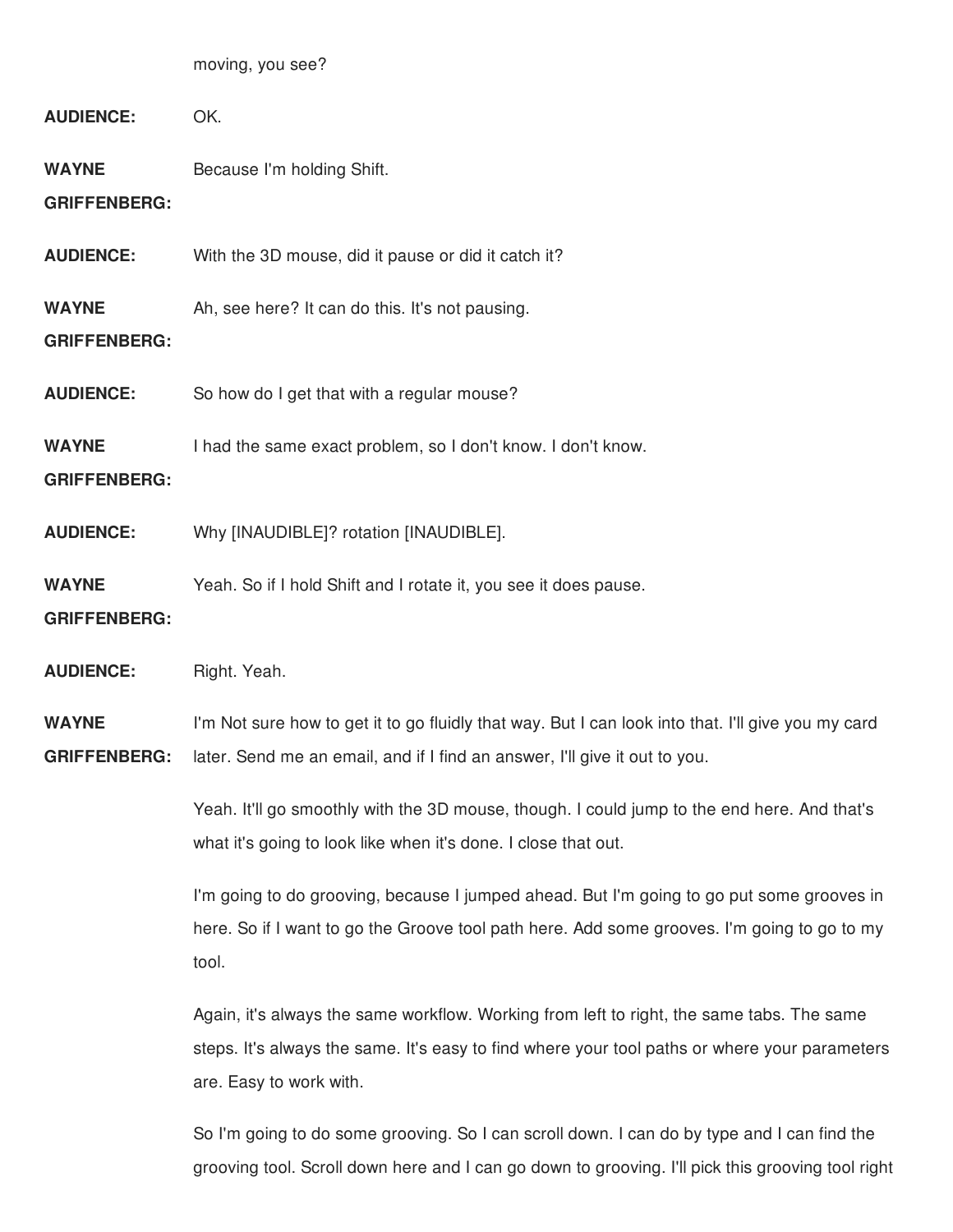|                                     | moving, you see?                                                                                   |
|-------------------------------------|----------------------------------------------------------------------------------------------------|
| <b>AUDIENCE:</b>                    | OK.                                                                                                |
| <b>WAYNE</b><br><b>GRIFFENBERG:</b> | Because I'm holding Shift.                                                                         |
| <b>AUDIENCE:</b>                    | With the 3D mouse, did it pause or did it catch it?                                                |
| <b>WAYNE</b><br><b>GRIFFENBERG:</b> | Ah, see here? It can do this. It's not pausing.                                                    |
| <b>AUDIENCE:</b>                    | So how do I get that with a regular mouse?                                                         |
| <b>WAYNE</b><br><b>GRIFFENBERG:</b> | I had the same exact problem, so I don't know. I don't know.                                       |
| <b>AUDIENCE:</b>                    | Why [INAUDIBLE]? rotation [INAUDIBLE].                                                             |
| <b>WAYNE</b><br><b>GRIFFENBERG:</b> | Yeah. So if I hold Shift and I rotate it, you see it does pause.                                   |
| <b>AUDIENCE:</b>                    | Right. Yeah.                                                                                       |
| <b>WAYNE</b>                        | I'm Not sure how to get it to go fluidly that way. But I can look into that. I'll give you my card |

GRIFFENBERG: later. Send me an email, and if I find an answer, I'll give it out to you.

Yeah. It'll go smoothly with the 3D mouse, though. I could jump to the end here. And that's what it's going to look like when it's done. I close that out.

I'm going to do grooving, because I jumped ahead. But I'm going to go put some grooves in here. So if I want to go the Groove tool path here. Add some grooves. I'm going to go to my tool.

Again, it's always the same workflow. Working from left to right, the same tabs. The same steps. It's always the same. It's easy to find where your tool paths or where your parameters are. Easy to work with.

So I'm going to do some grooving. So I can scroll down. I can do by type and I can find the grooving tool. Scroll down here and I can go down to grooving. I'll pick this grooving tool right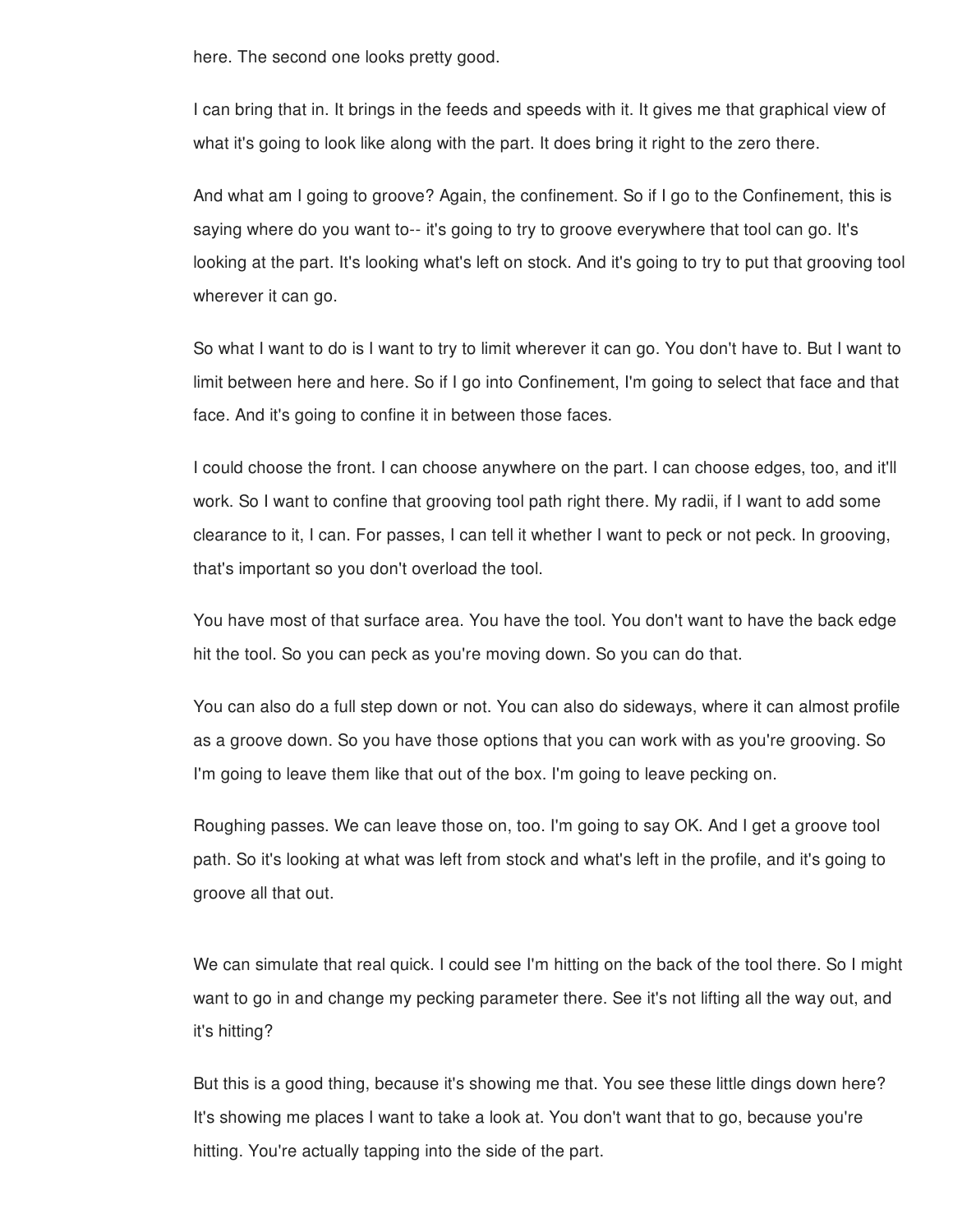here. The second one looks pretty good.

I can bring that in. It brings in the feeds and speeds with it. It gives me that graphical view of what it's going to look like along with the part. It does bring it right to the zero there.

And what am I going to groove? Again, the confinement. So if I go to the Confinement, this is saying where do you want to-- it's going to try to groove everywhere that tool can go. It's looking at the part. It's looking what's left on stock. And it's going to try to put that grooving tool wherever it can go.

So what I want to do is I want to try to limit wherever it can go. You don't have to. But I want to limit between here and here. So if I go into Confinement, I'm going to select that face and that face. And it's going to confine it in between those faces.

I could choose the front. I can choose anywhere on the part. I can choose edges, too, and it'll work. So I want to confine that grooving tool path right there. My radii, if I want to add some clearance to it, I can. For passes, I can tell it whether I want to peck or not peck. In grooving, that's important so you don't overload the tool.

You have most of that surface area. You have the tool. You don't want to have the back edge hit the tool. So you can peck as you're moving down. So you can do that.

You can also do a full step down or not. You can also do sideways, where it can almost profile as a groove down. So you have those options that you can work with as you're grooving. So I'm going to leave them like that out of the box. I'm going to leave pecking on.

Roughing passes. We can leave those on, too. I'm going to say OK. And I get a groove tool path. So it's looking at what was left from stock and what's left in the profile, and it's going to groove all that out.

We can simulate that real quick. I could see I'm hitting on the back of the tool there. So I might want to go in and change my pecking parameter there. See it's not lifting all the way out, and it's hitting?

But this is a good thing, because it's showing me that. You see these little dings down here? It's showing me places I want to take a look at. You don't want that to go, because you're hitting. You're actually tapping into the side of the part.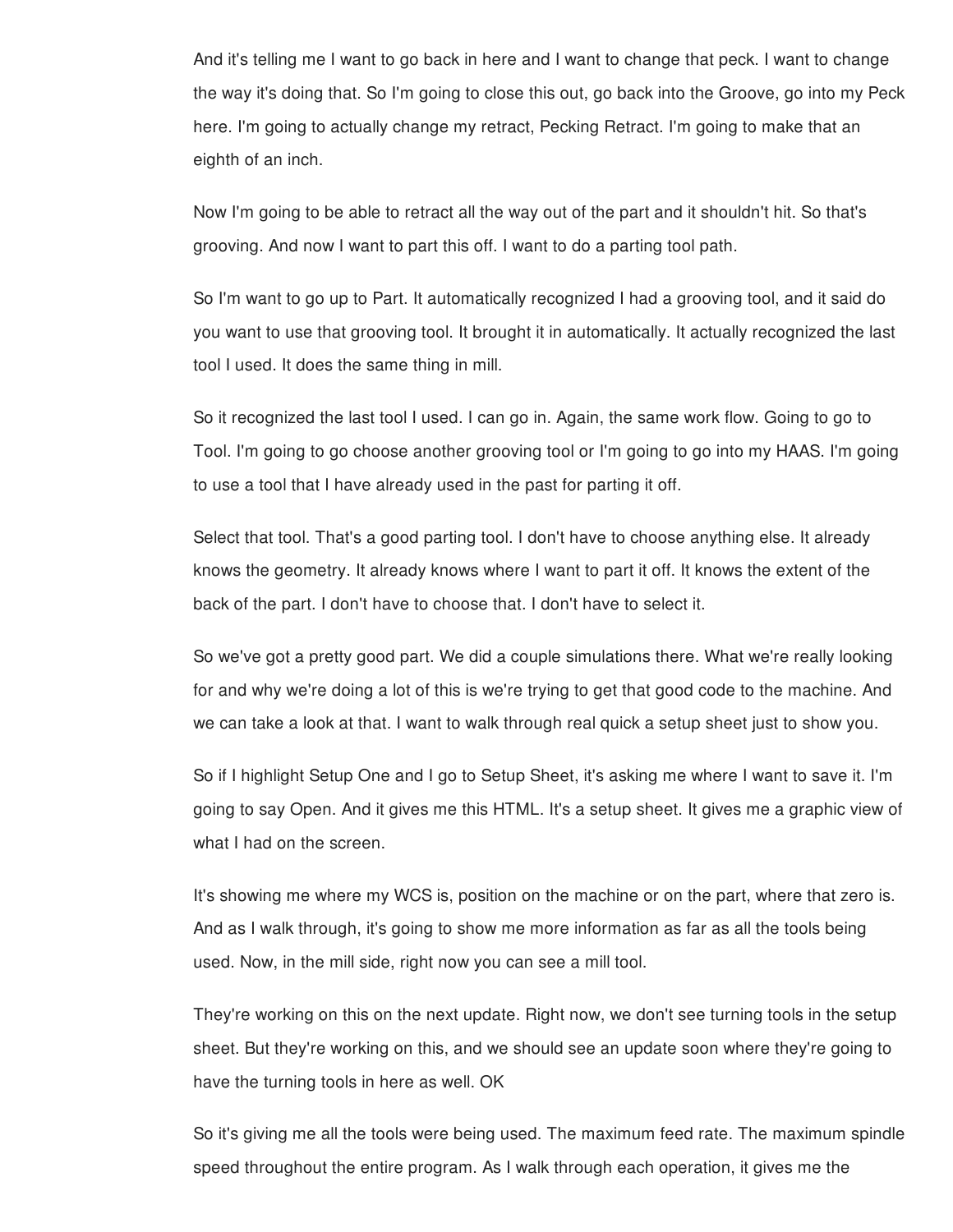And it's telling me I want to go back in here and I want to change that peck. I want to change the way it's doing that. So I'm going to close this out, go back into the Groove, go into my Peck here. I'm going to actually change my retract, Pecking Retract. I'm going to make that an eighth of an inch.

Now I'm going to be able to retract all the way out of the part and it shouldn't hit. So that's grooving. And now I want to part this off. I want to do a parting tool path.

So I'm want to go up to Part. It automatically recognized I had a grooving tool, and it said do you want to use that grooving tool. It brought it in automatically. It actually recognized the last tool I used. It does the same thing in mill.

So it recognized the last tool I used. I can go in. Again, the same work flow. Going to go to Tool. I'm going to go choose another grooving tool or I'm going to go into my HAAS. I'm going to use a tool that I have already used in the past for parting it off.

Select that tool. That's a good parting tool. I don't have to choose anything else. It already knows the geometry. It already knows where I want to part it off. It knows the extent of the back of the part. I don't have to choose that. I don't have to select it.

So we've got a pretty good part. We did a couple simulations there. What we're really looking for and why we're doing a lot of this is we're trying to get that good code to the machine. And we can take a look at that. I want to walk through real quick a setup sheet just to show you.

So if I highlight Setup One and I go to Setup Sheet, it's asking me where I want to save it. I'm going to say Open. And it gives me this HTML. It's a setup sheet. It gives me a graphic view of what I had on the screen.

It's showing me where my WCS is, position on the machine or on the part, where that zero is. And as I walk through, it's going to show me more information as far as all the tools being used. Now, in the mill side, right now you can see a mill tool.

They're working on this on the next update. Right now, we don't see turning tools in the setup sheet. But they're working on this, and we should see an update soon where they're going to have the turning tools in here as well. OK

So it's giving me all the tools were being used. The maximum feed rate. The maximum spindle speed throughout the entire program. As I walk through each operation, it gives me the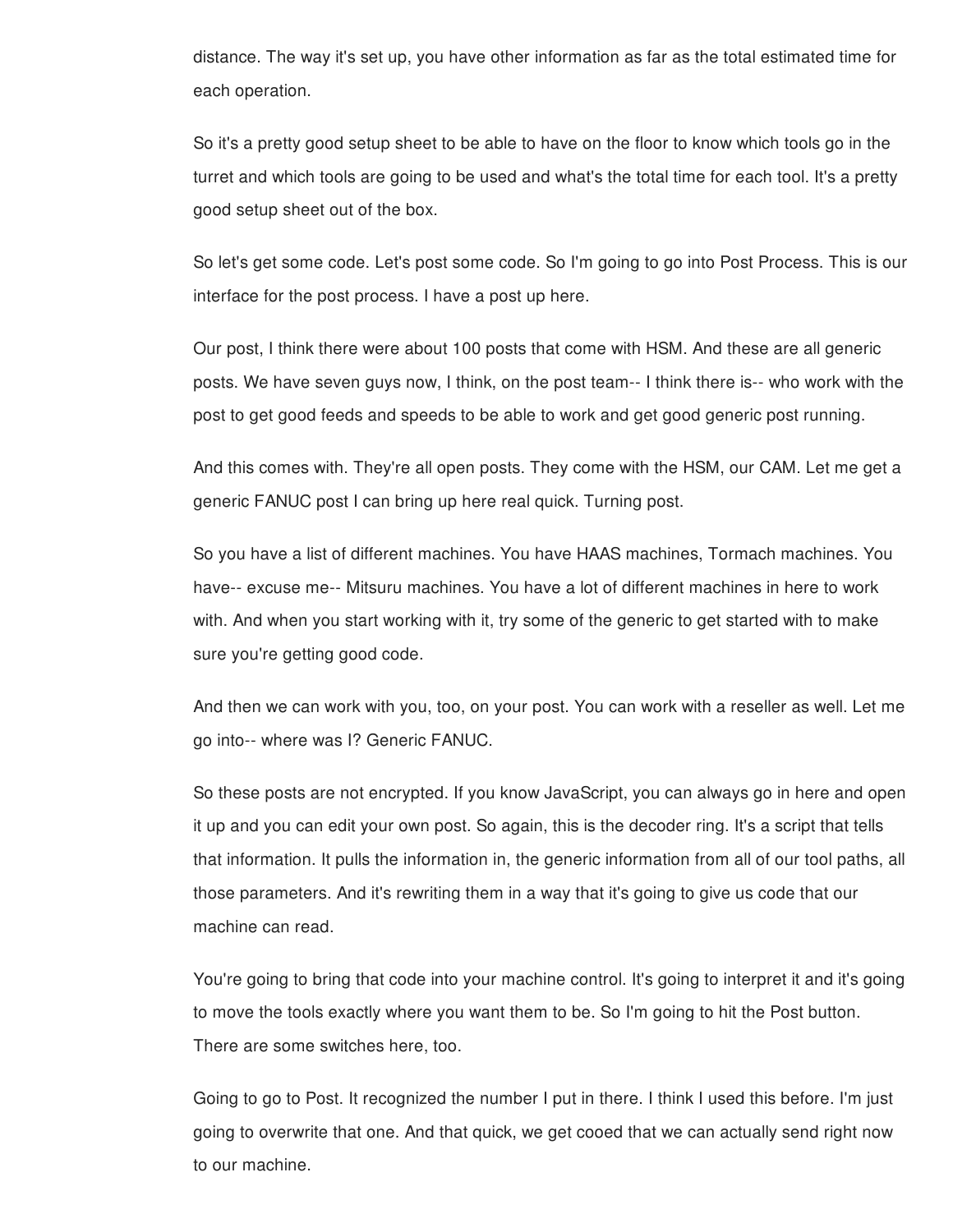distance. The way it's set up, you have other information as far as the total estimated time for each operation.

So it's a pretty good setup sheet to be able to have on the floor to know which tools go in the turret and which tools are going to be used and what's the total time for each tool. It's a pretty good setup sheet out of the box.

So let's get some code. Let's post some code. So I'm going to go into Post Process. This is our interface for the post process. I have a post up here.

Our post, I think there were about 100 posts that come with HSM. And these are all generic posts. We have seven guys now, I think, on the post team-- I think there is-- who work with the post to get good feeds and speeds to be able to work and get good generic post running.

And this comes with. They're all open posts. They come with the HSM, our CAM. Let me get a generic FANUC post I can bring up here real quick. Turning post.

So you have a list of different machines. You have HAAS machines, Tormach machines. You have-- excuse me-- Mitsuru machines. You have a lot of different machines in here to work with. And when you start working with it, try some of the generic to get started with to make sure you're getting good code.

And then we can work with you, too, on your post. You can work with a reseller as well. Let me go into-- where was I? Generic FANUC.

So these posts are not encrypted. If you know JavaScript, you can always go in here and open it up and you can edit your own post. So again, this is the decoder ring. It's a script that tells that information. It pulls the information in, the generic information from all of our tool paths, all those parameters. And it's rewriting them in a way that it's going to give us code that our machine can read.

You're going to bring that code into your machine control. It's going to interpret it and it's going to move the tools exactly where you want them to be. So I'm going to hit the Post button. There are some switches here, too.

Going to go to Post. It recognized the number I put in there. I think I used this before. I'm just going to overwrite that one. And that quick, we get cooed that we can actually send right now to our machine.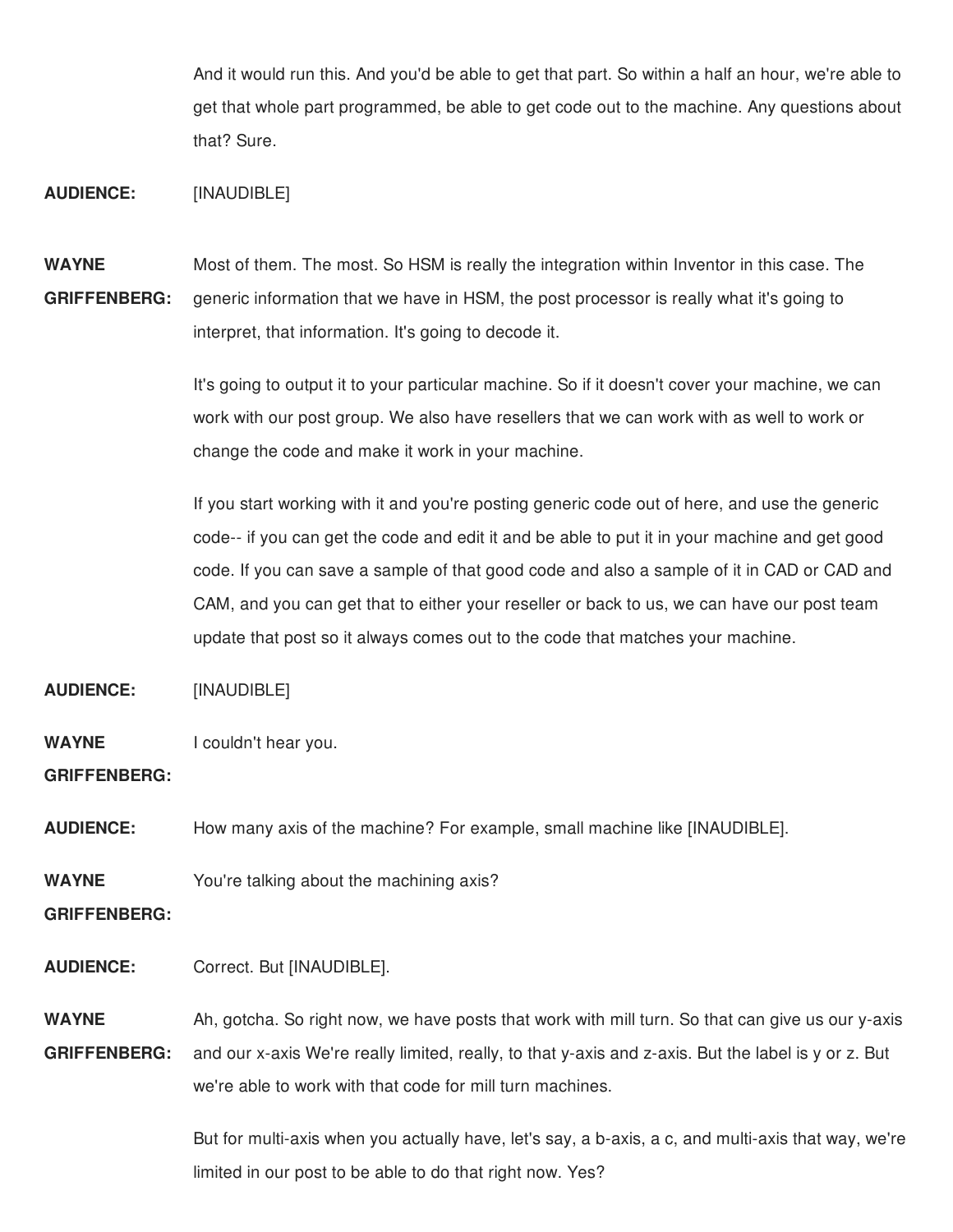And it would run this. And you'd be able to get that part. So within a half an hour, we're able to get that whole part programmed, be able to get code out to the machine. Any questions about that? Sure.

## **AUDIENCE:** [INAUDIBLE]

**WAYNE GRIFFENBERG:** Most of them. The most. So HSM is really the integration within Inventor in this case. The generic information that we have in HSM, the post processor is really what it's going to interpret, that information. It's going to decode it.

> It's going to output it to your particular machine. So if it doesn't cover your machine, we can work with our post group. We also have resellers that we can work with as well to work or change the code and make it work in your machine.

If you start working with it and you're posting generic code out of here, and use the generic code-- if you can get the code and edit it and be able to put it in your machine and get good code. If you can save a sample of that good code and also a sample of it in CAD or CAD and CAM, and you can get that to either your reseller or back to us, we can have our post team update that post so it always comes out to the code that matches your machine.

#### **AUDIENCE:** [INAUDIBLE]

**WAYNE** I couldn't hear you.

#### **GRIFFENBERG:**

**AUDIENCE:** How many axis of the machine? For example, small machine like [INAUDIBLE].

**WAYNE** You're talking about the machining axis?

# **GRIFFENBERG:**

**AUDIENCE:** Correct. But [INAUDIBLE].

**WAYNE** Ah, gotcha. So right now, we have posts that work with mill turn. So that can give us our y-axis

**GRIFFENBERG:** and our x-axis We're really limited, really, to that y-axis and z-axis. But the label is y or z. But we're able to work with that code for mill turn machines.

> But for multi-axis when you actually have, let's say, a b-axis, a c, and multi-axis that way, we're limited in our post to be able to do that right now. Yes?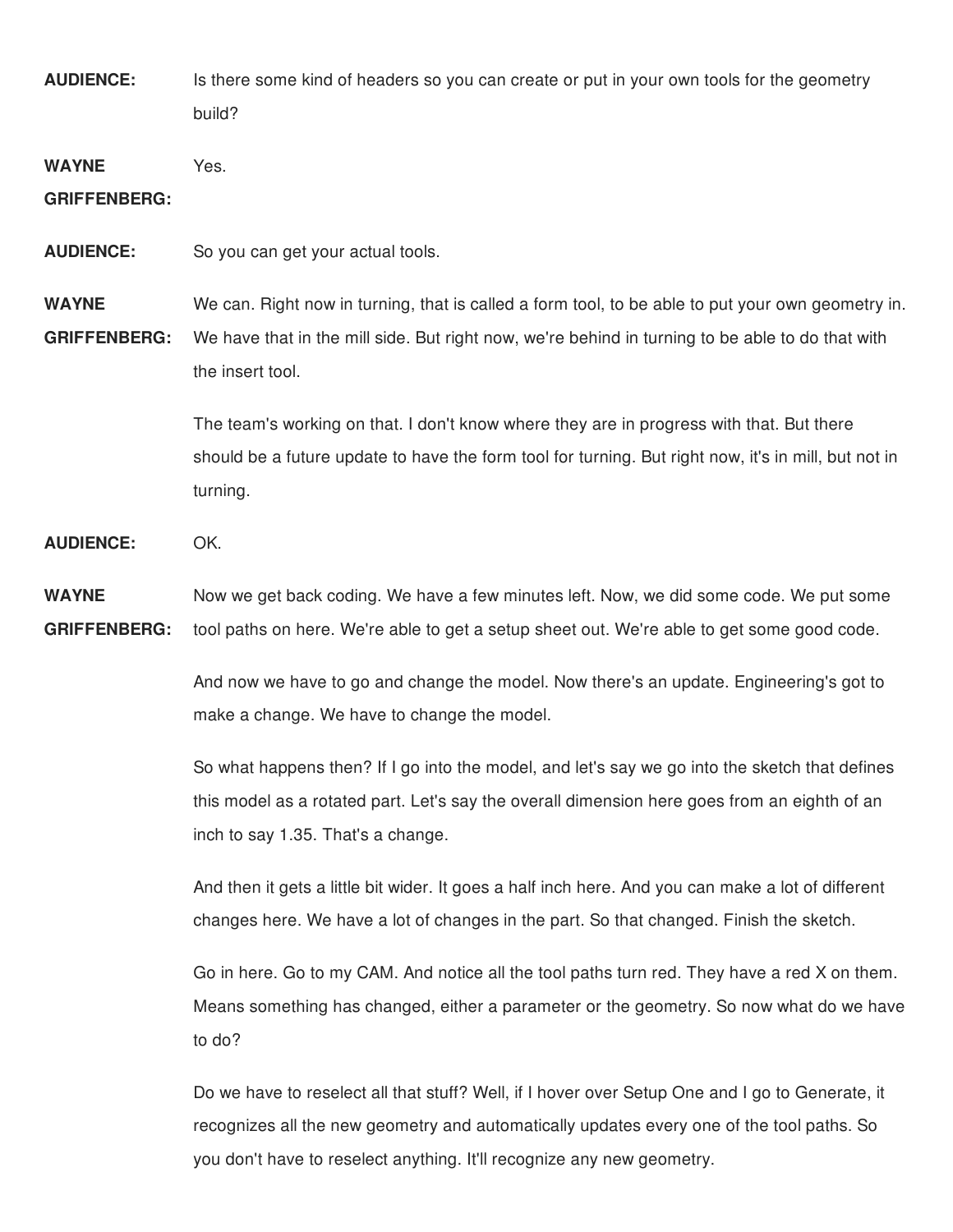**AUDIENCE:** Is there some kind of headers so you can create or put in your own tools for the geometry build?

**WAYNE** Yes.

**GRIFFENBERG:**

**AUDIENCE:** So you can get your actual tools.

**WAYNE** We can. Right now in turning, that is called a form tool, to be able to put your own geometry in.

**GRIFFENBERG:** We have that in the mill side. But right now, we're behind in turning to be able to do that with the insert tool.

> The team's working on that. I don't know where they are in progress with that. But there should be a future update to have the form tool for turning. But right now, it's in mill, but not in turning.

**AUDIENCE:** OK.

**WAYNE GRIFFENBERG:** Now we get back coding. We have a few minutes left. Now, we did some code. We put some tool paths on here. We're able to get a setup sheet out. We're able to get some good code.

> And now we have to go and change the model. Now there's an update. Engineering's got to make a change. We have to change the model.

So what happens then? If I go into the model, and let's say we go into the sketch that defines this model as a rotated part. Let's say the overall dimension here goes from an eighth of an inch to say 1.35. That's a change.

And then it gets a little bit wider. It goes a half inch here. And you can make a lot of different changes here. We have a lot of changes in the part. So that changed. Finish the sketch.

Go in here. Go to my CAM. And notice all the tool paths turn red. They have a red X on them. Means something has changed, either a parameter or the geometry. So now what do we have to do?

Do we have to reselect all that stuff? Well, if I hover over Setup One and I go to Generate, it recognizes all the new geometry and automatically updates every one of the tool paths. So you don't have to reselect anything. It'll recognize any new geometry.